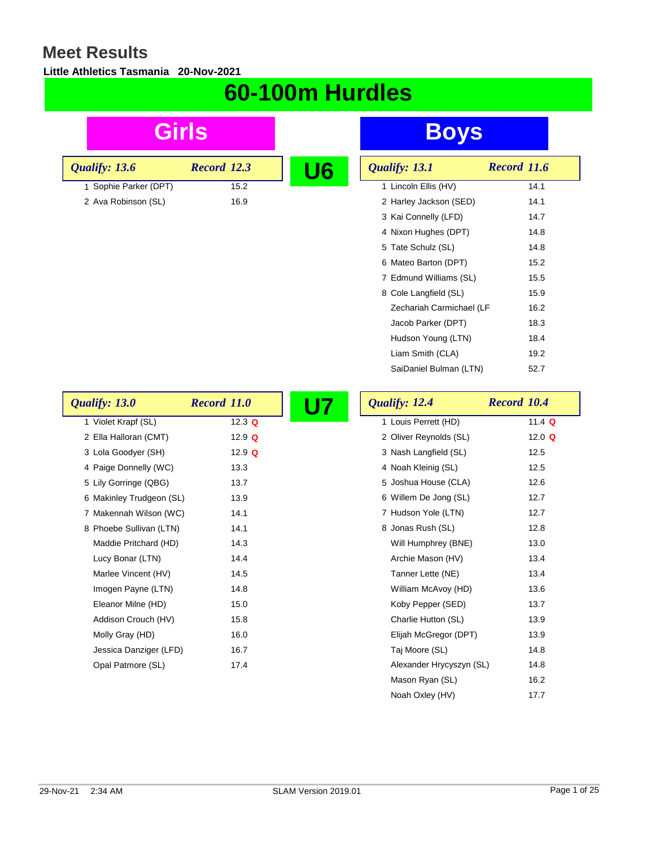#### **Little Athletics Tasmania 20-Nov-2021**

# **60-100m Hurdles**

| Girls                    |                    | <b>Boys</b>                                    |
|--------------------------|--------------------|------------------------------------------------|
| Qualify: 13.6            | <b>Record 12.3</b> | U <sub>6</sub><br>Qualify: 13.1<br>Record 11.6 |
| 1 Sophie Parker (DPT)    | 15.2               | 1 Lincoln Ellis (HV)<br>14.1                   |
| 2 Ava Robinson (SL)      | 16.9               | 2 Harley Jackson (SED)<br>14.1                 |
|                          |                    | 3 Kai Connelly (LFD)<br>14.7                   |
|                          |                    | 4 Nixon Hughes (DPT)<br>14.8                   |
|                          |                    | 14.8<br>5 Tate Schulz (SL)                     |
|                          |                    | 6 Mateo Barton (DPT)<br>15.2                   |
|                          |                    | 7 Edmund Williams (SL)<br>15.5                 |
|                          |                    | 8 Cole Langfield (SL)<br>15.9                  |
|                          |                    | Zechariah Carmichael (LF<br>16.2               |
|                          |                    | Jacob Parker (DPT)<br>18.3                     |
|                          |                    | Hudson Young (LTN)<br>18.4                     |
|                          |                    | Liam Smith (CLA)<br>19.2                       |
|                          |                    | SaiDaniel Bulman (LTN)<br>52.7                 |
| Qualify: 13.0            | <b>Record 11.0</b> | Qualify: 12.4<br><b>U7</b><br>Record 10.4      |
| 1 Violet Krapf (SL)      | 12.3 $Q$           | 1 Louis Perrett (HD)<br>11.4 $Q$               |
| 2 Ella Halloran (CMT)    | 12.9 $Q$           | 2 Oliver Reynolds (SL)<br>12.0 $Q$             |
| 3 Lola Goodyer (SH)      | 12.9 $Q$           | 3 Nash Langfield (SL)<br>12.5                  |
| 4 Paige Donnelly (WC)    |                    |                                                |
|                          | 13.3               | 4 Noah Kleinig (SL)<br>12.5                    |
| 5 Lily Gorringe (QBG)    | 13.7               | 5 Joshua House (CLA)<br>12.6                   |
| 6 Makinley Trudgeon (SL) | 13.9               | 6 Willem De Jong (SL)<br>12.7                  |
| 7 Makennah Wilson (WC)   | 14.1               | 7 Hudson Yole (LTN)<br>12.7                    |
| 8 Phoebe Sullivan (LTN)  | 14.1               | 8 Jonas Rush (SL)<br>12.8                      |
| Maddie Pritchard (HD)    | 14.3               | Will Humphrey (BNE)<br>13.0                    |
| Lucy Bonar (LTN)         | 14.4               | Archie Mason (HV)<br>13.4                      |
| Marlee Vincent (HV)      | 14.5               | 13.4<br>Tanner Lette (NE)                      |
| Imogen Payne (LTN)       | 14.8               | 13.6<br>William McAvoy (HD)                    |
| Eleanor Milne (HD)       | 15.0               | Koby Pepper (SED)<br>13.7                      |
| Addison Crouch (HV)      | 15.8               | Charlie Hutton (SL)<br>13.9                    |
| Molly Gray (HD)          | 16.0               | Elijah McGregor (DPT)<br>13.9                  |
| Jessica Danziger (LFD)   | 16.7               | 14.8<br>Taj Moore (SL)                         |

Mason Ryan (SL) 16.2 Noah Oxley (HV) 17.7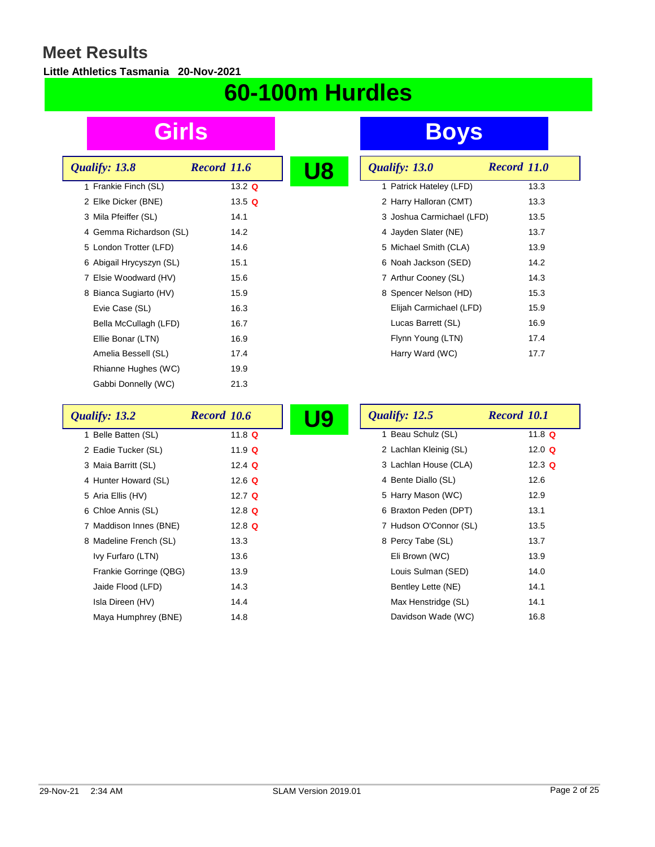### **Little Athletics Tasmania 20-Nov-2021**

# **60-100m Hurdles**

| Qualify: 13.8            | Record 11.6 |  |
|--------------------------|-------------|--|
| 1 Frankie Finch (SL)     | 13.2 $Q$    |  |
| 2 Elke Dicker (BNE)      | 13.5 $Q$    |  |
| 3 Mila Pfeiffer (SL)     | 14.1        |  |
| 4 Gemma Richardson (SL)  | 14.2        |  |
| 5 London Trotter (LFD)   | 14.6        |  |
| 6 Abigail Hrycyszyn (SL) | 15.1        |  |
| 7 Elsie Woodward (HV)    | 15.6        |  |
| 8 Bianca Sugiarto (HV)   | 15.9        |  |
| Evie Case (SL)           | 16.3        |  |
| Bella McCullagh (LFD)    | 16.7        |  |
| Ellie Bonar (LTN)        | 16.9        |  |
| Amelia Bessell (SL)      | 17.4        |  |
| Rhianne Hughes (WC)      | 19.9        |  |
| Gabbi Donnelly (WC)      | 21.3        |  |

| U8 | Qualify: 13.0             | Record 11.0 |
|----|---------------------------|-------------|
|    | 1 Patrick Hateley (LFD)   | 13.3        |
|    | 2 Harry Halloran (CMT)    | 13.3        |
|    | 3 Joshua Carmichael (LFD) | 13.5        |
|    | 4 Jayden Slater (NE)      | 13.7        |
|    | 5 Michael Smith (CLA)     | 13.9        |
|    | 6 Noah Jackson (SED)      | 14.2        |
|    | 7 Arthur Cooney (SL)      | 14.3        |
|    | 8 Spencer Nelson (HD)     | 15.3        |
|    | Elijah Carmichael (LFD)   | 15.9        |
|    | Lucas Barrett (SL)        | 16.9        |
|    | Flynn Young (LTN)         | 17.4        |
|    | Harry Ward (WC)           | 17.7        |

| Qualify: 13.2          | Record 10.6 | U9 | Qualify: 12.5          | Record 10.1 |
|------------------------|-------------|----|------------------------|-------------|
| 1 Belle Batten (SL)    | 11.8 $Q$    |    | 1 Beau Schulz (SL)     | 11.8 $Q$    |
| 2 Eadie Tucker (SL)    | 11.9 $Q$    |    | 2 Lachlan Kleinig (SL) | 12.0 $Q$    |
| 3 Maia Barritt (SL)    | 12.4 $Q$    |    | 3 Lachlan House (CLA)  | 12.3 $Q$    |
| 4 Hunter Howard (SL)   | 12.6 $Q$    |    | 4 Bente Diallo (SL)    | 12.6        |
| 5 Aria Ellis (HV)      | 12.7 $Q$    |    | 5 Harry Mason (WC)     | 12.9        |
| 6 Chloe Annis (SL)     | 12.8 $Q$    |    | 6 Braxton Peden (DPT)  | 13.1        |
| 7 Maddison Innes (BNE) | 12.8 $Q$    |    | 7 Hudson O'Connor (SL) | 13.5        |
| 8 Madeline French (SL) | 13.3        |    | 8 Percy Tabe (SL)      | 13.7        |
| Ivy Furfaro (LTN)      | 13.6        |    | Eli Brown (WC)         | 13.9        |
| Frankie Gorringe (QBG) | 13.9        |    | Louis Sulman (SED)     | 14.0        |
| Jaide Flood (LFD)      | 14.3        |    | Bentley Lette (NE)     | 14.1        |
| Isla Direen (HV)       | 14.4        |    | Max Henstridge (SL)    | 14.1        |
| Maya Humphrey (BNE)    | 14.8        |    | Davidson Wade (WC)     | 16.8        |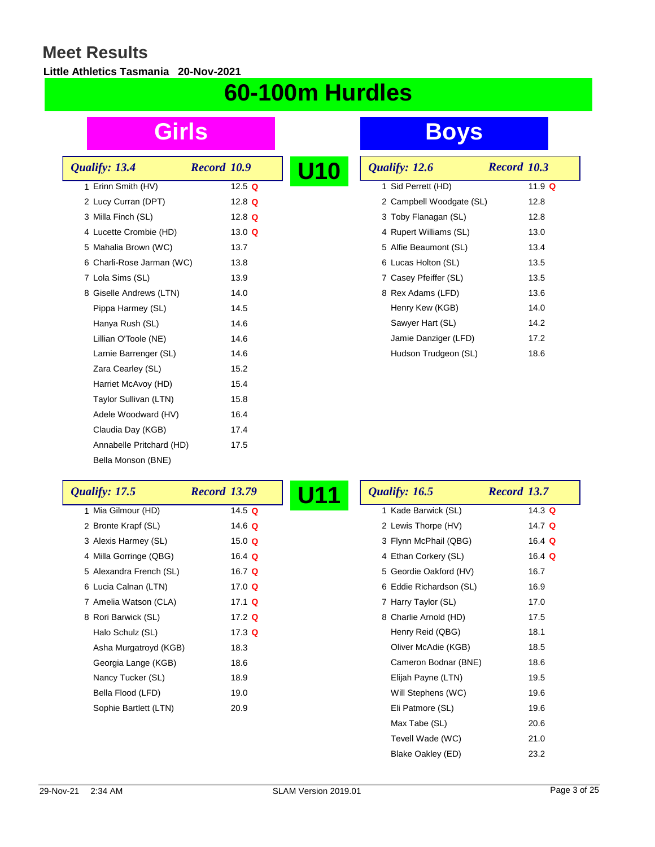#### **Little Athletics Tasmania 20-Nov-2021**

# **60-100m Hurdles**

| Qualify: 13.4             | Record 10.9 |  |
|---------------------------|-------------|--|
| 1 Erinn Smith (HV)        | 12.5 $Q$    |  |
| 2 Lucy Curran (DPT)       | 12.8 $Q$    |  |
| 3 Milla Finch (SL)        | 12.8 $Q$    |  |
| 4 Lucette Crombie (HD)    | 13.0 $Q$    |  |
| 5 Mahalia Brown (WC)      | 13.7        |  |
| 6 Charli-Rose Jarman (WC) | 13.8        |  |
| 7 Lola Sims (SL)          | 13.9        |  |
| 8 Giselle Andrews (LTN)   | 14.0        |  |
| Pippa Harmey (SL)         | 14.5        |  |
| Hanya Rush (SL)           | 14.6        |  |
| Lillian O'Toole (NE)      | 14.6        |  |
| Larnie Barrenger (SL)     | 14.6        |  |
| Zara Cearley (SL)         | 15.2        |  |
| Harriet McAvoy (HD)       | 15.4        |  |
| Taylor Sullivan (LTN)     | 15.8        |  |
| Adele Woodward (HV)       | 16.4        |  |
| Claudia Day (KGB)         | 17.4        |  |
| Annabelle Pritchard (HD)  | 17.5        |  |
| Bella Monson (BNE)        |             |  |

| U10 | Qualify: 12.6            | Record 10.3 |
|-----|--------------------------|-------------|
|     | 1 Sid Perrett (HD)       | 11.9 Q      |
|     | 2 Campbell Woodgate (SL) | 12.8        |
|     | 3 Toby Flanagan (SL)     | 12.8        |
|     | 4 Rupert Williams (SL)   | 13.0        |
|     | 5 Alfie Beaumont (SL)    | 13.4        |
|     | 6 Lucas Holton (SL)      | 13.5        |
|     | 7 Casey Pfeiffer (SL)    | 13.5        |
|     | 8 Rex Adams (LFD)        | 13.6        |
|     | Henry Kew (KGB)          | 14.0        |
|     | Sawyer Hart (SL)         | 14.2        |
|     | Jamie Danziger (LFD)     | 17.2        |
|     | Hudson Trudgeon (SL)     | 18.6        |

| <b>Qualify: 17.5</b>    | <b>Record 13.79</b> | U11 | Qualify: 16.5           | Record 13.7 |
|-------------------------|---------------------|-----|-------------------------|-------------|
| 1 Mia Gilmour (HD)      | 14.5 $Q$            |     | 1 Kade Barwick (SL)     | 14.3 $Q$    |
| 2 Bronte Krapf (SL)     | 14.6 $Q$            |     | 2 Lewis Thorpe (HV)     | 14.7 $Q$    |
| 3 Alexis Harmey (SL)    | 15.0 $Q$            |     | 3 Flynn McPhail (QBG)   | 16.4 $Q$    |
| 4 Milla Gorringe (QBG)  | 16.4 $Q$            |     | 4 Ethan Corkery (SL)    | 16.4 $Q$    |
| 5 Alexandra French (SL) | 16.7 $Q$            |     | 5 Geordie Oakford (HV)  | 16.7        |
| 6 Lucia Calnan (LTN)    | 17.0 $Q$            |     | 6 Eddie Richardson (SL) | 16.9        |
| 7 Amelia Watson (CLA)   | 17.1 $Q$            |     | 7 Harry Taylor (SL)     | 17.0        |
| 8 Rori Barwick (SL)     | 17.2 $Q$            |     | 8 Charlie Arnold (HD)   | 17.5        |
| Halo Schulz (SL)        | 17.3 $Q$            |     | Henry Reid (QBG)        | 18.1        |
| Asha Murgatroyd (KGB)   | 18.3                |     | Oliver McAdie (KGB)     | 18.5        |
| Georgia Lange (KGB)     | 18.6                |     | Cameron Bodnar (BNE)    | 18.6        |
| Nancy Tucker (SL)       | 18.9                |     | Elijah Payne (LTN)      | 19.5        |
| Bella Flood (LFD)       | 19.0                |     | Will Stephens (WC)      | 19.6        |
| Sophie Bartlett (LTN)   | 20.9                |     | Eli Patmore (SL)        | 19.6        |
|                         |                     |     | Max Tabe (SL)           | 20.6        |
|                         |                     |     | Tevell Wade (WC)        | 21.0        |
|                         |                     |     | Blake Oakley (ED)       | 23.2        |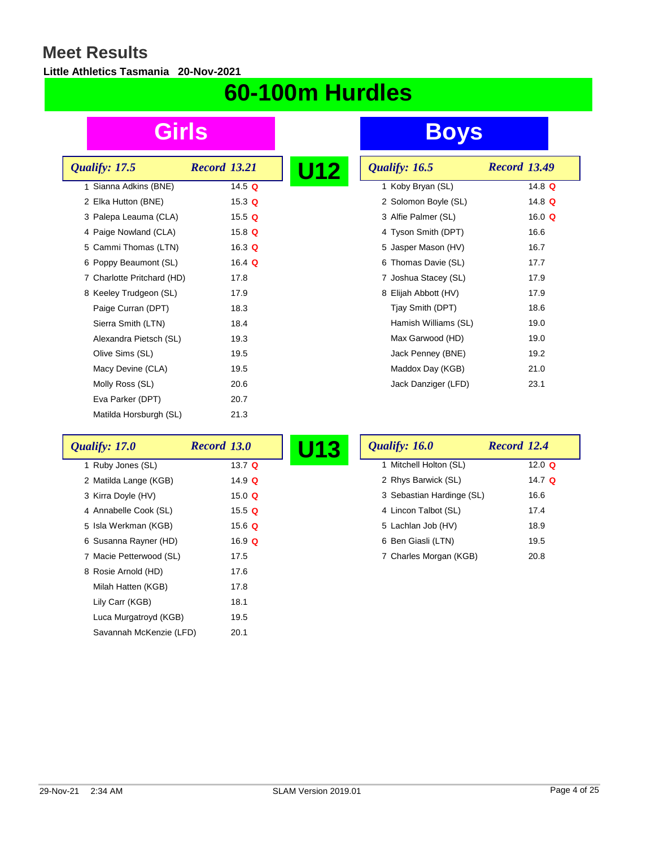### **Little Athletics Tasmania 20-Nov-2021**

# **60-100m Hurdles**

| Qualify: 17.5              | <b>Record 13.21</b> | U12 |
|----------------------------|---------------------|-----|
| 1 Sianna Adkins (BNE)      | 14.5 $Q$            |     |
| 2 Elka Hutton (BNE)        | 15.3 $Q$            |     |
| 3 Palepa Leauma (CLA)      | 15.5 $Q$            |     |
| 4 Paige Nowland (CLA)      | 15.8 $Q$            |     |
| 5 Cammi Thomas (LTN)       | 16.3 $Q$            |     |
| 6 Poppy Beaumont (SL)      | 16.4 $Q$            |     |
| 7 Charlotte Pritchard (HD) | 17.8                |     |
| 8 Keeley Trudgeon (SL)     | 17.9                |     |
| Paige Curran (DPT)         | 18.3                |     |
| Sierra Smith (LTN)         | 18.4                |     |
| Alexandra Pietsch (SL)     | 19.3                |     |
| Olive Sims (SL)            | 19.5                |     |
| Macy Devine (CLA)          | 19.5                |     |
| Molly Ross (SL)            | 20.6                |     |
| Eva Parker (DPT)           | 20.7                |     |
| Matilda Horsburgh (SL)     | 21.3                |     |

| U12 | Qualify: 16.5        | <b>Record 13.49</b> |
|-----|----------------------|---------------------|
|     | 1 Koby Bryan (SL)    | 14.8 $Q$            |
|     | 2 Solomon Boyle (SL) | 14.8 $Q$            |
|     | 3 Alfie Palmer (SL)  | 16.0 $Q$            |
|     | 4 Tyson Smith (DPT)  | 16.6                |
|     | 5 Jasper Mason (HV)  | 16.7                |
|     | 6 Thomas Davie (SL)  | 17.7                |
|     | 7 Joshua Stacey (SL) | 17.9                |
|     | 8 Elijah Abbott (HV) | 17.9                |
|     | Tjay Smith (DPT)     | 18.6                |
|     | Hamish Williams (SL) | 19.0                |
|     | Max Garwood (HD)     | 19.0                |
|     | Jack Penney (BNE)    | 19.2                |
|     | Maddox Day (KGB)     | 21.0                |
|     | Jack Danziger (LFD)  | 23.1                |

| Qualify: 17.0           | <b>Record 13.0</b> | Qualify: 16.0<br><b>U13</b> | Record 12.4 |
|-------------------------|--------------------|-----------------------------|-------------|
| 1 Ruby Jones (SL)       | 13.7 $Q$           | 1 Mitchell Holton (SL)      | 12.0 $Q$    |
| 2 Matilda Lange (KGB)   | 14.9 $Q$           | 2 Rhys Barwick (SL)         | 14.7 $Q$    |
| 3 Kirra Doyle (HV)      | 15.0 $Q$           | 3 Sebastian Hardinge (SL)   | 16.6        |
| 4 Annabelle Cook (SL)   | 15.5 $Q$           | 4 Lincon Talbot (SL)        | 17.4        |
| 5 Isla Werkman (KGB)    | 15.6 $Q$           | 5 Lachlan Job (HV)          | 18.9        |
| 6 Susanna Rayner (HD)   | 16.9 $Q$           | 6 Ben Giasli (LTN)          | 19.5        |
| 7 Macie Petterwood (SL) | 17.5               | 7 Charles Morgan (KGB)      | 20.8        |
| 8 Rosie Arnold (HD)     | 17.6               |                             |             |
| Milah Hatten (KGB)      | 17.8               |                             |             |
| Lily Carr (KGB)         | 18.1               |                             |             |
| Luca Murgatroyd (KGB)   | 19.5               |                             |             |
| Savannah McKenzie (LFD) | 20.1               |                             |             |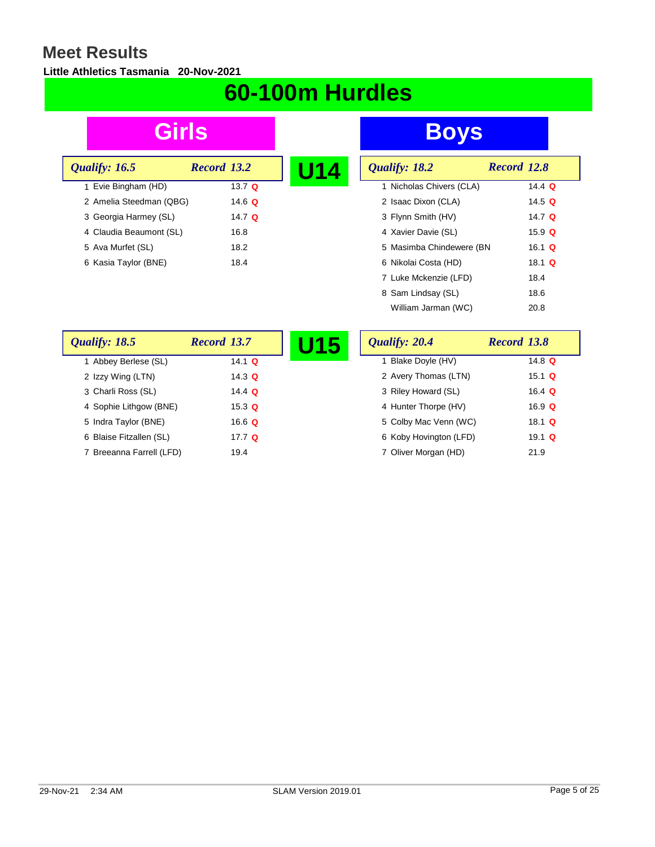### **Little Athletics Tasmania 20-Nov-2021**

# **60-100m Hurdles**

| Qualify: 16.5           | Record 13.2   |  |
|-------------------------|---------------|--|
| 1 Evie Bingham (HD)     | 13.7 $\Omega$ |  |
| 2 Amelia Steedman (QBG) | 14.6 Q        |  |
| 3 Georgia Harmey (SL)   | 14.7 Q        |  |
| 4 Claudia Beaumont (SL) | 16.8          |  |
| 5 Ava Murfet (SL)       | 18.2          |  |
| 6 Kasia Taylor (BNE)    | 18.4          |  |
|                         |               |  |

| U14 | Qualify: 18.2            | Record 12.8 |
|-----|--------------------------|-------------|
|     | 1 Nicholas Chivers (CLA) | 14.4 $Q$    |
|     | 2 Isaac Dixon (CLA)      | 14.5 $Q$    |
|     | 3 Flynn Smith (HV)       | 14.7 $Q$    |
|     | 4 Xavier Davie (SL)      | 15.9 $Q$    |
|     | 5 Masimba Chindewere (BN | 16.1 $Q$    |
|     | 6 Nikolai Costa (HD)     | 18.1 $Q$    |
|     | 7 Luke Mckenzie (LFD)    | 18.4        |
|     | 8 Sam Lindsay (SL)       | 18.6        |
|     | William Jarman (WC)      | 20.8        |

| Qualify: 18.5            | Record 13.7   | U15 | Qualify: 20.4          | Record 13.8   |
|--------------------------|---------------|-----|------------------------|---------------|
| 1 Abbey Berlese (SL)     | 14.1 $Q$      |     | 1 Blake Doyle (HV)     | 14.8 $\Omega$ |
| 2 Izzy Wing (LTN)        | 14.3 $Q$      |     | 2 Avery Thomas (LTN)   | 15.1 $Q$      |
| 3 Charli Ross (SL)       | 14.4 $Q$      |     | 3 Riley Howard (SL)    | 16.4 $Q$      |
| 4 Sophie Lithgow (BNE)   | 15.3 $Q$      |     | 4 Hunter Thorpe (HV)   | 16.9 $Q$      |
| 5 Indra Taylor (BNE)     | 16.6 $\Omega$ |     | 5 Colby Mac Venn (WC)  | 18.1 $Q$      |
| 6 Blaise Fitzallen (SL)  | 17.7 $Q$      |     | 6 Koby Hovington (LFD) | 19.1 $\Omega$ |
| 7 Breeanna Farrell (LFD) | 19.4          |     | 7 Oliver Morgan (HD)   | 21.9          |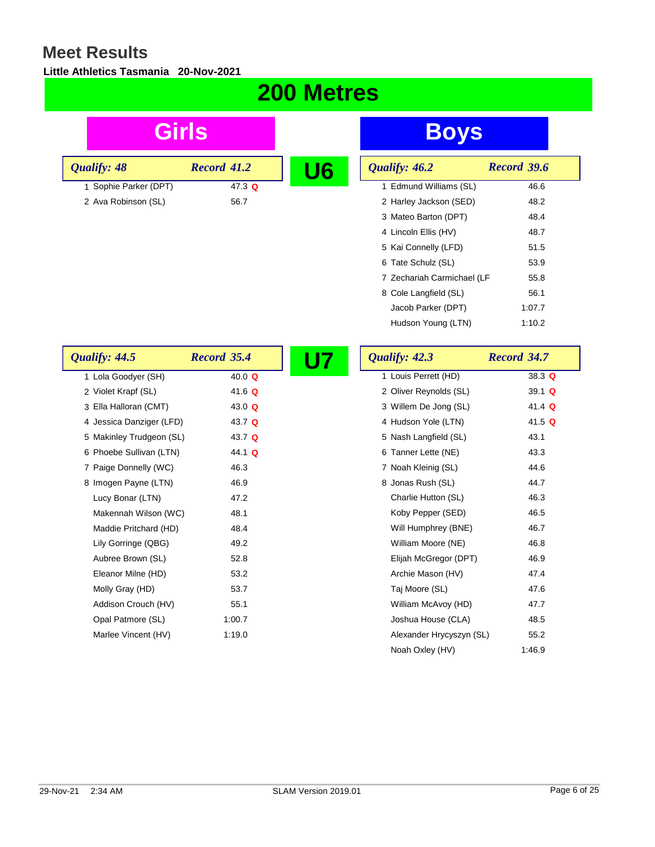#### **Little Athletics Tasmania 20-Nov-2021**

## **200 Metres**

| Girls                    |                    |    | <b>Boys</b>                |                    |
|--------------------------|--------------------|----|----------------------------|--------------------|
| Qualify: 48              | <b>Record 41.2</b> | U6 | Qualify: 46.2              | Record 39.6        |
| 1 Sophie Parker (DPT)    | 47.3 Q             |    | 1 Edmund Williams (SL)     | 46.6               |
| 2 Ava Robinson (SL)      | 56.7               |    | 2 Harley Jackson (SED)     | 48.2               |
|                          |                    |    | 3 Mateo Barton (DPT)       | 48.4               |
|                          |                    |    | 4 Lincoln Ellis (HV)       | 48.7               |
|                          |                    |    | 5 Kai Connelly (LFD)       | 51.5               |
|                          |                    |    | 6 Tate Schulz (SL)         | 53.9               |
|                          |                    |    | 7 Zechariah Carmichael (LF | 55.8               |
|                          |                    |    | 8 Cole Langfield (SL)      | 56.1               |
|                          |                    |    | Jacob Parker (DPT)         | 1:07.7             |
|                          |                    |    | Hudson Young (LTN)         | 1:10.2             |
| Qualify: 44.5            | <b>Record 35.4</b> |    | Qualify: 42.3              | <b>Record 34.7</b> |
| 1 Lola Goodyer (SH)      | 40.0 Q             |    | 1 Louis Perrett (HD)       | 38.3 Q             |
| 2 Violet Krapf (SL)      | 41.6 $Q$           |    | 2 Oliver Reynolds (SL)     | 39.1 Q             |
| 3 Ella Halloran (CMT)    | 43.0 $Q$           |    | 3 Willem De Jong (SL)      | 41.4 Q             |
| 4 Jessica Danziger (LFD) | 43.7 Q             |    | 4 Hudson Yole (LTN)        | 41.5 Q             |
| 5 Makinley Trudgeon (SL) | 43.7 Q             |    | 5 Nash Langfield (SL)      | 43.1               |
| 6 Phoebe Sullivan (LTN)  | 44.1 Q             |    | 6 Tanner Lette (NE)        | 43.3               |
| 7 Paige Donnelly (WC)    | 46.3               |    | 7 Noah Kleinig (SL)        | 44.6               |
| 8 Imogen Payne (LTN)     | 46.9               |    | 8 Jonas Rush (SL)          | 44.7               |
| Lucy Bonar (LTN)         | 47.2               |    | Charlie Hutton (SL)        | 46.3               |
| Makennah Wilson (WC)     | 48.1               |    | Koby Pepper (SED)          | 46.5               |
| Maddie Pritchard (HD)    | 48.4               |    | Will Humphrey (BNE)        | 46.7               |
| Lily Gorringe (QBG)      | 49.2               |    | William Moore (NE)         | 46.8               |
| Aubree Brown (SL)        | 52.8               |    | Elijah McGregor (DPT)      | 46.9               |
| Eleanor Milne (HD)       | 53.2               |    | Archie Mason (HV)          | 47.4               |
| Molly Gray (HD)          | 53.7               |    | Taj Moore (SL)             | 47.6               |
| Addison Crouch (HV)      | 55.1               |    | William McAvoy (HD)        | 47.7               |
| Opal Patmore (SL)        | 1:00.7             |    | Joshua House (CLA)         | 48.5               |
| Marlee Vincent (HV)      | 1:19.0             |    | Alexander Hrycyszyn (SL)   | 55.2               |
|                          |                    |    | Noah Oxley (HV)            | 1:46.9             |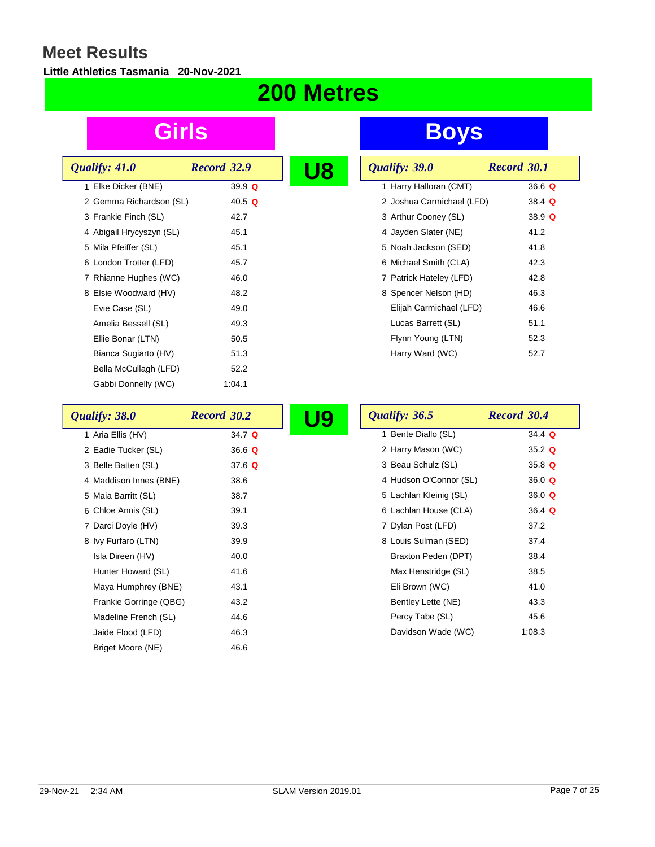#### **Little Athletics Tasmania 20-Nov-2021**

## **200 Metres**

| Qualify: 41.0            | Record 32.9 |  |
|--------------------------|-------------|--|
| 1 Elke Dicker (BNE)      | 39.9 $Q$    |  |
| 2 Gemma Richardson (SL)  | 40.5 Q      |  |
| 3 Frankie Finch (SL)     | 42.7        |  |
| 4 Abigail Hrycyszyn (SL) | 45.1        |  |
| 5 Mila Pfeiffer (SL)     | 45.1        |  |
| 6 London Trotter (LFD)   | 45.7        |  |
| 7 Rhianne Hughes (WC)    | 46.0        |  |
| 8 Elsie Woodward (HV)    | 48.2        |  |
| Evie Case (SL)           | 49.0        |  |
| Amelia Bessell (SL)      | 49.3        |  |
| Ellie Bonar (LTN)        | 50.5        |  |
| Bianca Sugiarto (HV)     | 51.3        |  |
| Bella McCullagh (LFD)    | 52.2        |  |
| Gabbi Donnelly (WC)      | 1:04.1      |  |

# **Girls Boys**

| U8 | Qualify: 39.0             | <b>Record 30.1</b> |
|----|---------------------------|--------------------|
|    | 1 Harry Halloran (CMT)    | 36.6 Q             |
|    | 2 Joshua Carmichael (LFD) | 38.4 $Q$           |
|    | 3 Arthur Cooney (SL)      | 38.9 $Q$           |
|    | 4 Jayden Slater (NE)      | 41.2               |
|    | 5 Noah Jackson (SED)      | 41.8               |
|    | 6 Michael Smith (CLA)     | 42.3               |
|    | 7 Patrick Hateley (LFD)   | 42.8               |
|    | 8 Spencer Nelson (HD)     | 46.3               |
|    | Elijah Carmichael (LFD)   | 46.6               |
|    | Lucas Barrett (SL)        | 51.1               |
|    | Flynn Young (LTN)         | 52.3               |
|    | Harry Ward (WC)           | 52.7               |

| Qualify: 38.0          | Record 30.2 | U9 | Qualify: 36.5          | Record 30.4 |
|------------------------|-------------|----|------------------------|-------------|
| 1 Aria Ellis (HV)      | 34.7 Q      |    | 1 Bente Diallo (SL)    | 34.4 $Q$    |
| 2 Eadie Tucker (SL)    | 36.6 Q      |    | 2 Harry Mason (WC)     | 35.2 $Q$    |
| 3 Belle Batten (SL)    | 37.6 $Q$    |    | 3 Beau Schulz (SL)     | 35.8 $Q$    |
| 4 Maddison Innes (BNE) | 38.6        |    | 4 Hudson O'Connor (SL) | 36.0 $Q$    |
| 5 Maia Barritt (SL)    | 38.7        |    | 5 Lachlan Kleinig (SL) | 36.0 Q      |
| 6 Chloe Annis (SL)     | 39.1        |    | 6 Lachlan House (CLA)  | $36.4 \;Q$  |
| 7 Darci Doyle (HV)     | 39.3        |    | 7 Dylan Post (LFD)     | 37.2        |
| 8 Ivy Furfaro (LTN)    | 39.9        |    | 8 Louis Sulman (SED)   | 37.4        |
| Isla Direen (HV)       | 40.0        |    | Braxton Peden (DPT)    | 38.4        |
| Hunter Howard (SL)     | 41.6        |    | Max Henstridge (SL)    | 38.5        |
| Maya Humphrey (BNE)    | 43.1        |    | Eli Brown (WC)         | 41.0        |
| Frankie Gorringe (QBG) | 43.2        |    | Bentley Lette (NE)     | 43.3        |
| Madeline French (SL)   | 44.6        |    | Percy Tabe (SL)        | 45.6        |
| Jaide Flood (LFD)      | 46.3        |    | Davidson Wade (WC)     | 1:08.3      |
| Briget Moore (NE)      | 46.6        |    |                        |             |

r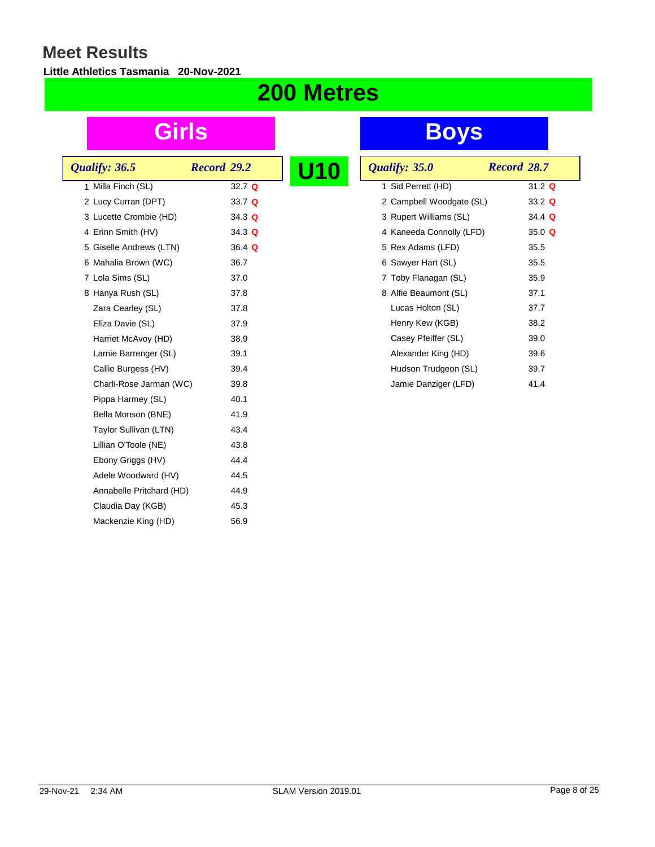#### **Little Athletics Tasmania 20-Nov-2021**

## **200 Metres**

| Qualify: 36.5            | Record 29.2   |  |
|--------------------------|---------------|--|
| 1 Milla Finch (SL)       | $32.7 \Omega$ |  |
| 2 Lucy Curran (DPT)      | 33.7 Q        |  |
| 3 Lucette Crombie (HD)   | 34.3 Q        |  |
| 4 Erinn Smith (HV)       | 34.3 Q        |  |
| 5 Giselle Andrews (LTN)  | $36.4 \;Q$    |  |
| 6 Mahalia Brown (WC)     | 36.7          |  |
| 7 Lola Sims (SL)         | 37.0          |  |
| 8 Hanya Rush (SL)        | 37.8          |  |
| Zara Cearley (SL)        | 37.8          |  |
| Eliza Davie (SL)         | 37.9          |  |
| Harriet McAvoy (HD)      | 38.9          |  |
| Larnie Barrenger (SL)    | 39.1          |  |
| Callie Burgess (HV)      | 39.4          |  |
| Charli-Rose Jarman (WC)  | 39.8          |  |
| Pippa Harmey (SL)        | 40.1          |  |
| Bella Monson (BNE)       | 41.9          |  |
| Taylor Sullivan (LTN)    | 43.4          |  |
| Lillian O'Toole (NE)     | 43.8          |  |
| Ebony Griggs (HV)        | 44.4          |  |
| Adele Woodward (HV)      | 44.5          |  |
| Annabelle Pritchard (HD) | 44.9          |  |
| Claudia Day (KGB)        | 45.3          |  |
| Mackenzie King (HD)      | 56.9          |  |
|                          |               |  |

| U10 | Qualify: 35.0            | Record 28.7 |          |
|-----|--------------------------|-------------|----------|
|     | 1 Sid Perrett (HD)       |             | 31.2 $Q$ |
|     | 2 Campbell Woodgate (SL) |             | 33.2 $Q$ |
|     | 3 Rupert Williams (SL)   |             | 34.4 Q   |
|     | 4 Kaneeda Connolly (LFD) |             | 35.0 $Q$ |
|     | 5 Rex Adams (LFD)        |             | 35.5     |
|     | 6 Sawyer Hart (SL)       |             | 35.5     |
|     | 7 Toby Flanagan (SL)     |             | 35.9     |
|     | 8 Alfie Beaumont (SL)    |             | 37.1     |
|     | Lucas Holton (SL)        |             | 37.7     |
|     | Henry Kew (KGB)          |             | 38.2     |
|     | Casey Pfeiffer (SL)      |             | 39.0     |
|     | Alexander King (HD)      |             | 39.6     |
|     | Hudson Trudgeon (SL)     |             | 39.7     |
|     | Jamie Danziger (LFD)     |             | 41.4     |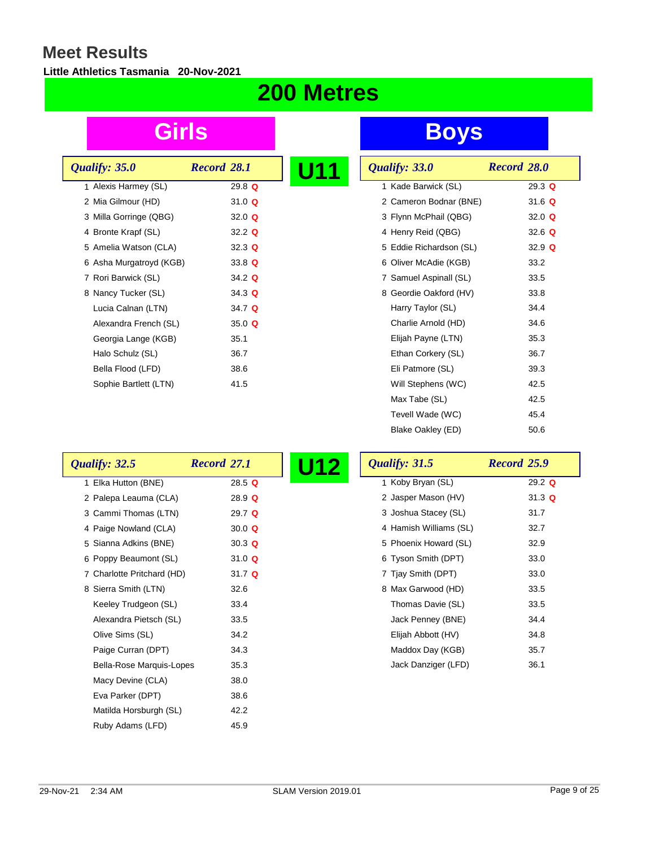#### **Little Athletics Tasmania 20-Nov-2021**

## **200 Metres**

| Qualify: 35.0           | Record 28.1 |  |
|-------------------------|-------------|--|
| 1 Alexis Harmey (SL)    | 29.8 $Q$    |  |
| 2 Mia Gilmour (HD)      | 31.0 $Q$    |  |
| 3 Milla Gorringe (QBG)  | 32.0 $Q$    |  |
| 4 Bronte Krapf (SL)     | 32.2 $Q$    |  |
| 5 Amelia Watson (CLA)   | 32.3 Q      |  |
| 6 Asha Murgatroyd (KGB) | 33.8 $Q$    |  |
| 7 Rori Barwick (SL)     | 34.2 $Q$    |  |
| 8 Nancy Tucker (SL)     | 34.3 Q      |  |
| Lucia Calnan (LTN)      | 34.7 Q      |  |
| Alexandra French (SL)   | 35.0 $Q$    |  |
| Georgia Lange (KGB)     | 35.1        |  |
| Halo Schulz (SL)        | 36.7        |  |
| Bella Flood (LFD)       | 38.6        |  |
| Sophie Bartlett (LTN)   | 41.5        |  |

| <b>U11</b> | Qualify: 33.0           | Record 28.0  |
|------------|-------------------------|--------------|
|            | 1 Kade Barwick (SL)     | $29.3 \t{Q}$ |
|            | 2 Cameron Bodnar (BNE)  | 31.6 Q       |
|            | 3 Flynn McPhail (QBG)   | 32.0 $Q$     |
|            | 4 Henry Reid (QBG)      | 32.6 $Q$     |
|            | 5 Eddie Richardson (SL) | 32.9 $Q$     |
|            | 6 Oliver McAdie (KGB)   | 33.2         |
|            | 7 Samuel Aspinall (SL)  | 33.5         |
|            | 8 Geordie Oakford (HV)  | 33.8         |
|            | Harry Taylor (SL)       | 34.4         |
|            | Charlie Arnold (HD)     | 34.6         |
|            | Elijah Payne (LTN)      | 35.3         |
|            | Ethan Corkery (SL)      | 36.7         |
|            | Eli Patmore (SL)        | 39.3         |
|            | Will Stephens (WC)      | 42.5         |
|            | Max Tabe (SL)           | 42.5         |
|            | Tevell Wade (WC)        | 45.4         |
|            | Blake Oakley (ED)       | 50.6         |

| Qualify: 32.5              | Record 27.1        | Qualify: 31.5<br>U12   | Record 25.9 |
|----------------------------|--------------------|------------------------|-------------|
| 1 Elka Hutton (BNE)        | 28.5Q              | 1 Koby Bryan (SL)      | $29.2$ Q    |
| 2 Palepa Leauma (CLA)      | 28.9 Q             | 2 Jasper Mason (HV)    | 31.3 Q      |
| 3 Cammi Thomas (LTN)       | 29.7 $Q$           | 3 Joshua Stacey (SL)   | 31.7        |
| 4 Paige Nowland (CLA)      | 30.0 $Q$           | 4 Hamish Williams (SL) | 32.7        |
| 5 Sianna Adkins (BNE)      | $30.3 \; \text{Q}$ | 5 Phoenix Howard (SL)  | 32.9        |
| 6 Poppy Beaumont (SL)      | 31.0 $Q$           | 6 Tyson Smith (DPT)    | 33.0        |
| 7 Charlotte Pritchard (HD) | 31.7 $Q$           | 7 Tjay Smith (DPT)     | 33.0        |
| 8 Sierra Smith (LTN)       | 32.6               | 8 Max Garwood (HD)     | 33.5        |
| Keeley Trudgeon (SL)       | 33.4               | Thomas Davie (SL)      | 33.5        |
| Alexandra Pietsch (SL)     | 33.5               | Jack Penney (BNE)      | 34.4        |
| Olive Sims (SL)            | 34.2               | Elijah Abbott (HV)     | 34.8        |
| Paige Curran (DPT)         | 34.3               | Maddox Day (KGB)       | 35.7        |
| Bella-Rose Marquis-Lopes   | 35.3               | Jack Danziger (LFD)    | 36.1        |
| Macy Devine (CLA)          | 38.0               |                        |             |
| Eva Parker (DPT)           | 38.6               |                        |             |
| Matilda Horsburgh (SL)     | 42.2               |                        |             |
| Ruby Adams (LFD)           | 45.9               |                        |             |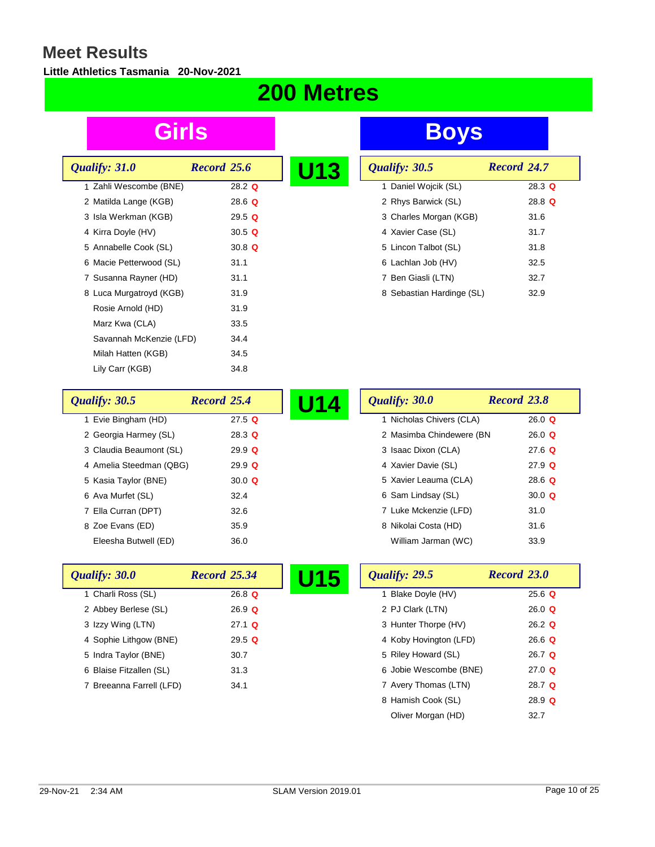#### **Little Athletics Tasmania 20-Nov-2021**

# **200 Metres**

| Qualify: 31.0           | Record 25.6   | U13 |
|-------------------------|---------------|-----|
| 1 Zahli Wescombe (BNE)  | 28.2 $\Omega$ |     |
| 2 Matilda Lange (KGB)   | 28.6 $Q$      |     |
| 3 Isla Werkman (KGB)    | $29.5 \t{Q}$  |     |
| 4 Kirra Doyle (HV)      | 30.5 Q        |     |
| 5 Annabelle Cook (SL)   | 30.8 $Q$      |     |
| 6 Macie Petterwood (SL) | 31.1          |     |
| 7 Susanna Rayner (HD)   | 31.1          |     |
| 8 Luca Murgatroyd (KGB) | 31.9          |     |
| Rosie Arnold (HD)       | 31.9          |     |
| Marz Kwa (CLA)          | 33.5          |     |
| Savannah McKenzie (LFD) | 34.4          |     |
| Milah Hatten (KGB)      | 34.5          |     |
| Lily Carr (KGB)         | 34.8          |     |
|                         |               |     |

| Qualify: 30.5             | Record 24.7  |
|---------------------------|--------------|
| 1 Daniel Wojcik (SL)      | $28.3 \t{Q}$ |
| 2 Rhys Barwick (SL)       | $28.8$ Q     |
| 3 Charles Morgan (KGB)    | 31.6         |
| 4 Xavier Case (SL)        | 31.7         |
| 5 Lincon Talbot (SL)      | 31.8         |
| 6 Lachlan Job (HV)        | 32.5         |
| 7 Ben Giasli (LTN)        | 32.7         |
| 8 Sebastian Hardinge (SL) | 32.9         |

| Qualify: 30.5           | Record 25.4   | 14 | Qualify: 30.0            | Record 23.8   |
|-------------------------|---------------|----|--------------------------|---------------|
| Evie Bingham (HD)       | $27.5$ Q      |    | 1 Nicholas Chivers (CLA) | 26.0 $Q$      |
| 2 Georgia Harmey (SL)   | 28.3 $Q$      |    | 2 Masimba Chindewere (BN | $26.0 \Omega$ |
| 3 Claudia Beaumont (SL) | 29.9 $Q$      |    | 3 Isaac Dixon (CLA)      | $27.6$ Q      |
| 4 Amelia Steedman (QBG) | $29.9 \Omega$ |    | 4 Xavier Davie (SL)      | $27.9$ Q      |
| 5 Kasia Taylor (BNE)    | 30.0 $Q$      |    | 5 Xavier Leauma (CLA)    | 28.6 $Q$      |
| 6 Ava Murfet (SL)       | 32.4          |    | 6 Sam Lindsay (SL)       | 30.0 $Q$      |
| 7 Ella Curran (DPT)     | 32.6          |    | 7 Luke Mckenzie (LFD)    | 31.0          |
| 8 Zoe Evans (ED)        | 35.9          |    | 8 Nikolai Costa (HD)     | 31.6          |
| Eleesha Butwell (ED)    | 36.0          |    | William Jarman (WC)      | 33.9          |

| Qualify: 30.0            | <b>Record 25.34</b> | U15 |
|--------------------------|---------------------|-----|
| 1 Charli Ross (SL)       | $26.8$ Q            |     |
| 2 Abbey Berlese (SL)     | $26.9$ Q            |     |
| 3 Izzy Wing (LTN)        | $27.1$ Q            |     |
| 4 Sophie Lithgow (BNE)   | 29.5 Q              |     |
| 5 Indra Taylor (BNE)     | 30.7                |     |
| 6 Blaise Fitzallen (SL)  | 31.3                |     |
| 7 Breeanna Farrell (LFD) | 34.1                |     |

| Record 23.0   |
|---------------|
| $25.6$ Q      |
| 26.0 $\Omega$ |
| $26.2$ Q      |
| $26.6$ Q      |
| 26.7 $Q$      |
| 27.0 $\Omega$ |
| 28.7 $Q$      |
| 28.9 Q        |
| 32.7          |
|               |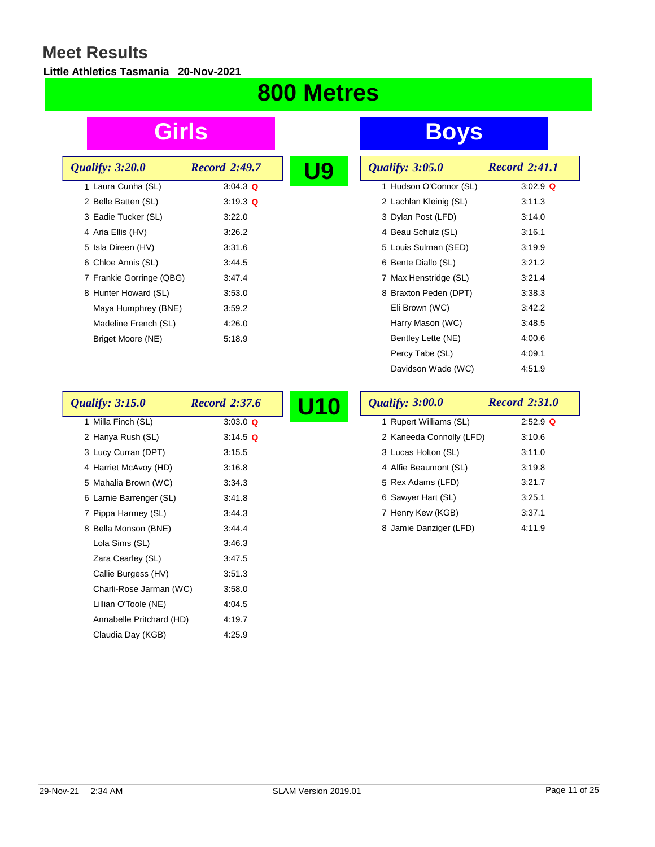#### **Little Athletics Tasmania 20-Nov-2021**

## **800 Metres**

| <i><b>Qualify: 3:20.0</b></i> | <b>Record 2:49.7</b> |
|-------------------------------|----------------------|
| 1 Laura Cunha (SL)            | $3:04.3$ Q           |
| 2 Belle Batten (SL)           | $3:19.3$ Q           |
| 3 Eadie Tucker (SL)           | 3:22.0               |
| 4 Aria Ellis (HV)             | 3:26.2               |
| 5 Isla Direen (HV)            | 3:31.6               |
| 6 Chloe Annis (SL)            | 3:44.5               |
| 7 Frankie Gorringe (QBG)      | 3:47.4               |
| 8 Hunter Howard (SL)          | 3:53.0               |
| Maya Humphrey (BNE)           | 3:59.2               |
| Madeline French (SL)          | 4:26.0               |
| Briget Moore (NE)             | 5:18.9               |
|                               |                      |

**Girls Boys**

| <b>Qualify: 3:05.0</b> | <b>Record 2:41.1</b> |
|------------------------|----------------------|
| 1 Hudson O'Connor (SL) | 3:02.9 $Q$           |
| 2 Lachlan Kleinig (SL) | 3:11.3               |
| 3 Dylan Post (LFD)     | 3:14.0               |
| 4 Beau Schulz (SL)     | 3:16.1               |
| 5 Louis Sulman (SED)   | 3:19.9               |
| 6 Bente Diallo (SL)    | 3:21.2               |
| 7 Max Henstridge (SL)  | 3:21.4               |
| 8 Braxton Peden (DPT)  | 3:38.3               |
| Eli Brown (WC)         | 3.42.2               |
| Harry Mason (WC)       | 3:48.5               |
| Bentley Lette (NE)     | 4:00.6               |
| Percy Tabe (SL)        | 4:09.1               |
| Davidson Wade (WC)     | 4:51.9               |

| <b>Qualify: 3:15.0</b>   | <b>Record 2:37.6</b> | <b>Qualify: 3:00.0</b>   | <b>Record 2:31.0</b> |
|--------------------------|----------------------|--------------------------|----------------------|
| 1 Milla Finch (SL)       | $3:03.0$ Q           | 1 Rupert Williams (SL)   | $2:52.9$ Q           |
| 2 Hanya Rush (SL)        | $3.14.5$ Q           | 2 Kaneeda Connolly (LFD) | 3:10.6               |
| 3 Lucy Curran (DPT)      | 3:15.5               | 3 Lucas Holton (SL)      | 3:11.0               |
| 4 Harriet McAvoy (HD)    | 3:16.8               | 4 Alfie Beaumont (SL)    | 3:19.8               |
| 5 Mahalia Brown (WC)     | 3:34.3               | 5 Rex Adams (LFD)        | 3:21.7               |
| 6 Larnie Barrenger (SL)  | 3:41.8               | 6 Sawyer Hart (SL)       | 3:25.1               |
| 7 Pippa Harmey (SL)      | 3.44.3               | 7 Henry Kew (KGB)        | 3:37.1               |
| 8 Bella Monson (BNE)     | 3.44.4               | 8 Jamie Danziger (LFD)   | 4:11.9               |
| Lola Sims (SL)           | 3.46.3               |                          |                      |
| Zara Cearley (SL)        | 3.47.5               |                          |                      |
| Callie Burgess (HV)      | 3:51.3               |                          |                      |
| Charli-Rose Jarman (WC)  | 3:58.0               |                          |                      |
| Lillian O'Toole (NE)     | 4:04.5               |                          |                      |
| Annabelle Pritchard (HD) | 4:19.7               |                          |                      |
| Claudia Day (KGB)        | 4.25.9               |                          |                      |

 $\mathbf{r}$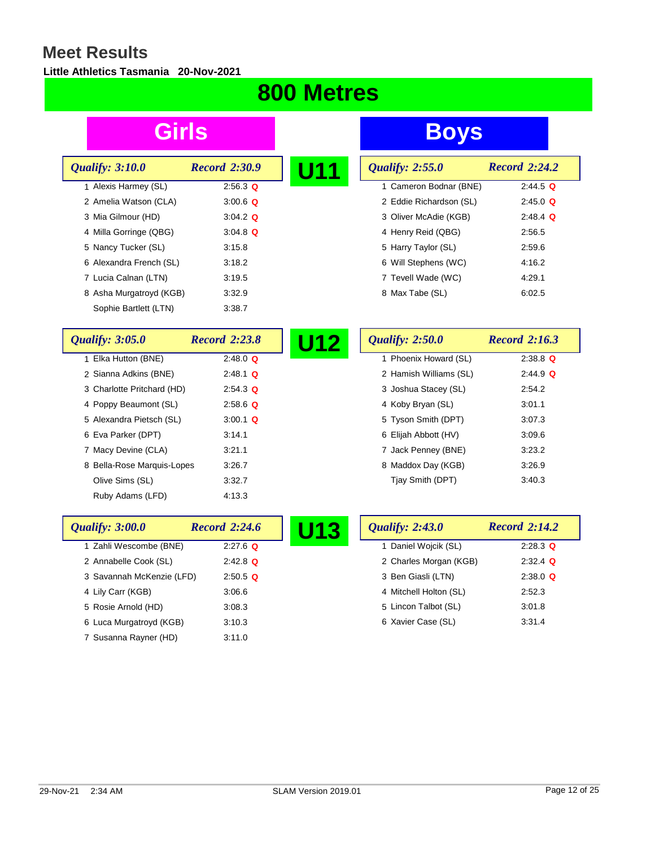#### **Little Athletics Tasmania 20-Nov-2021**

## **800 Metres**

| <b>Qualify: 3:10.0</b>  | <b>Record 2:30.9</b> | U11 | <b>Qualify: 2:55.0</b>  | <b>Record 2:24.2</b> |
|-------------------------|----------------------|-----|-------------------------|----------------------|
| 1 Alexis Harmey (SL)    | $2:56.3$ Q           |     | 1 Cameron Bodnar (BNE)  | $2:44.5$ Q           |
| 2 Amelia Watson (CLA)   | $3:00.6$ Q           |     | 2 Eddie Richardson (SL) | $2:45.0$ Q           |
| 3 Mia Gilmour (HD)      | $3:04.2$ Q           |     | 3 Oliver McAdie (KGB)   | $2:48.4$ Q           |
| 4 Milla Gorringe (QBG)  | $3:04.8$ Q           |     | 4 Henry Reid (QBG)      | 2:56.5               |
| 5 Nancy Tucker (SL)     | 3:15.8               |     | 5 Harry Taylor (SL)     | 2:59.6               |
| 6 Alexandra French (SL) | 3:18.2               |     | 6 Will Stephens (WC)    | 4:16.2               |
| 7 Lucia Calnan (LTN)    | 3:19.5               |     | 7 Tevell Wade (WC)      | 4:29.1               |
| 8 Asha Murgatroyd (KGB) | 3:32.9               |     | 8 Max Tabe (SL)         | 6:02.5               |
| Sophie Bartlett (LTN)   | 3:38.7               |     |                         |                      |

| <b>Qualify: 3:05.0</b>     | <b>Record 2:23.8</b> | <b>Qualify: 2:50.0</b><br>U12 | <b>Record 2:16.3</b> |
|----------------------------|----------------------|-------------------------------|----------------------|
| 1 Elka Hutton (BNE)        | $2:48.0$ Q           | 1 Phoenix Howard (SL)         | $2:38.8$ Q           |
| 2 Sianna Adkins (BNE)      | $2:48.1$ Q           | 2 Hamish Williams (SL)        | $2:44.9$ Q           |
| 3 Charlotte Pritchard (HD) | $2:54.3$ Q           | 3 Joshua Stacey (SL)          | 2:54.2               |
| 4 Poppy Beaumont (SL)      | $2.58.6$ Q           | 4 Koby Bryan (SL)             | 3.01.1               |
| 5 Alexandra Pietsch (SL)   | $3:00.1$ Q           | 5 Tyson Smith (DPT)           | 3:07.3               |
| 6 Eva Parker (DPT)         | 3:14.1               | 6 Elijah Abbott (HV)          | 3:09.6               |
| 7 Macy Devine (CLA)        | 3:21.1               | 7 Jack Penney (BNE)           | 3:23.2               |
| 8 Bella-Rose Marquis-Lopes | 3:26.7               | 8 Maddox Day (KGB)            | 3:26.9               |
| Olive Sims (SL)            | 3:32.7               | Tiay Smith (DPT)              | 3:40.3               |
| Ruby Adams (LFD)           | 4:13.3               |                               |                      |

| <b>Qualify: 3:00.0</b>    | <b>Record 2:24.6</b> | U13 | <b>Qualify: 2:43.0</b> | <b>Record 2:14.2</b> |
|---------------------------|----------------------|-----|------------------------|----------------------|
| 1 Zahli Wescombe (BNE)    | $2:27.6$ Q           |     | 1 Daniel Wojcik (SL)   | $2:28.3$ Q           |
| 2 Annabelle Cook (SL)     | $2:42.8$ Q           |     | 2 Charles Morgan (KGB) | $2:32.4$ Q           |
| 3 Savannah McKenzie (LFD) | $2:50.5$ Q           |     | 3 Ben Giasli (LTN)     | $2:38.0$ Q           |
| 4 Lily Carr (KGB)         | 3:06.6               |     | 4 Mitchell Holton (SL) | 2:52.3               |
| 5 Rosie Arnold (HD)       | 3:08.3               |     | 5 Lincon Talbot (SL)   | 3.01.8               |
| 6 Luca Murgatroyd (KGB)   | 3:10.3               |     | 6 Xavier Case (SL)     | 3:31.4               |
| 7 Susanna Rayner (HD)     | 3:11.0               |     |                        |                      |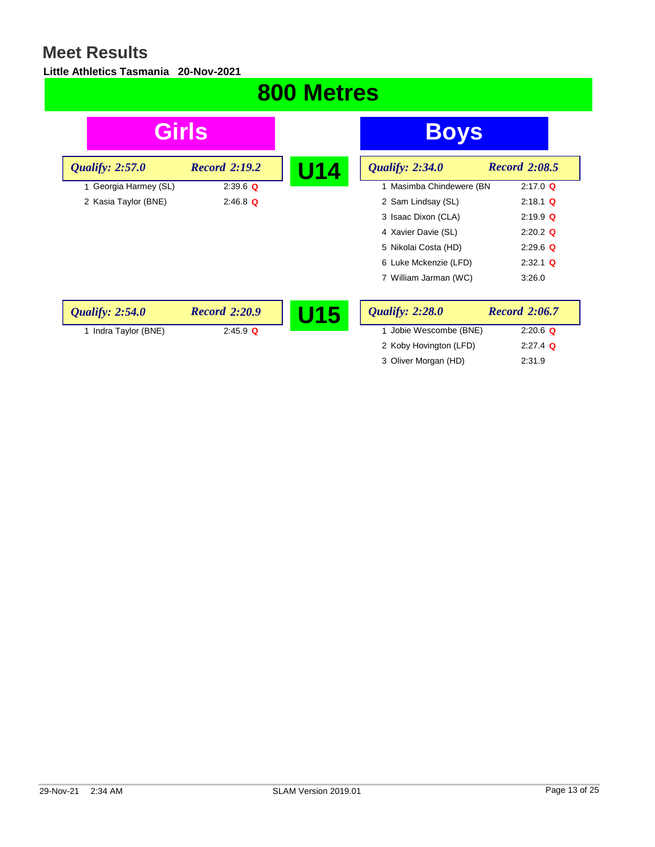#### **Little Athletics Tasmania 20-Nov-2021**

### **800 Metres Girls Boys U14** *Qualify:* 2:34.0 *Record* 2:08.5<br>1 Masimba Chindewere (BN 2:17.0 Q 1 Masimba Chindewere (BN 2 Sam Lindsay (SL) 2:18.1 **Q** 3 Isaac Dixon (CLA) 2:19.9 **Q** 4 Xavier Davie (SL) 2:20.2 **Q** 5 Nikolai Costa (HD) 2:29.6 **Q** 6 Luke Mckenzie (LFD) 2:32.1 **Q** 7 William Jarman (WC) 3:26.0 *Qualify: 2:57.0 Record 2:19.2* 1 Georgia Harmey (SL) 2:39.6 **Q** 2 Kasia Taylor (BNE) 2:46.8 **Q U15** *Qualify:* 2:28.0 *Record* 2:06.7<br>1 Jobie Wescombe (BNE) 2:20.6 **Q** 1 Jobie Wescombe (BNE) 2:20.6 **Q** 2 Koby Hovington (LFD) 2:27.4 **Q** *Qualify: 2:54.0 Record 2:20.9* 1 Indra Taylor (BNE) 2:45.9 **Q**

3 Oliver Morgan (HD) 2:31.9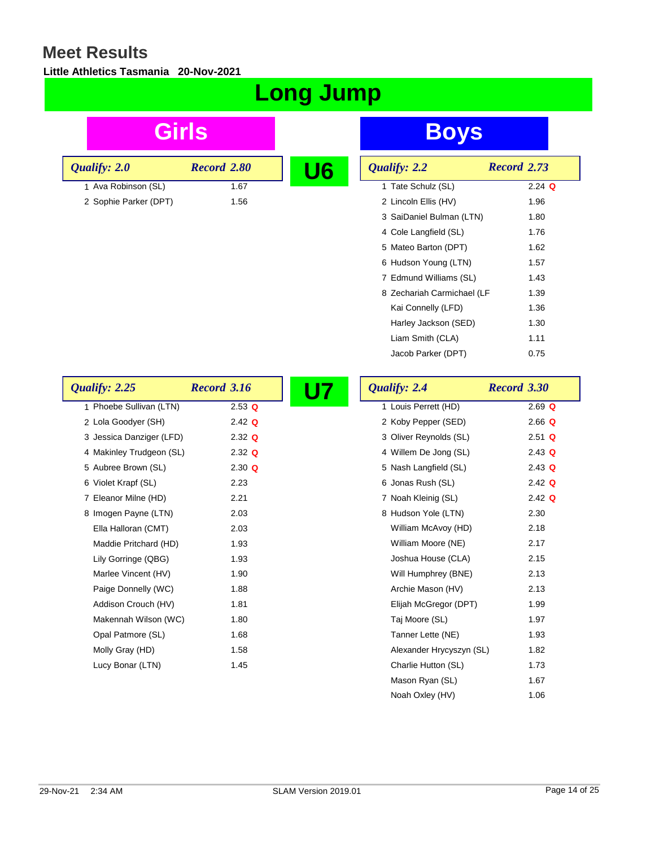*<u>Qualify: 2.0</sub>*</u>

#### **Little Athletics Tasmania 20-Nov-2021**

## **Long Jump**

| <b>Girls</b>             |                    |                | <b>Boys</b>                |                    |
|--------------------------|--------------------|----------------|----------------------------|--------------------|
| <i>calify: 2.0</i>       | Record 2.80        | U <sub>6</sub> | Qualify: 2.2               | <b>Record 2.73</b> |
| 1 Ava Robinson (SL)      | 1.67               |                | 1 Tate Schulz (SL)         | $2.24$ Q           |
| 2 Sophie Parker (DPT)    | 1.56               |                | 2 Lincoln Ellis (HV)       | 1.96               |
|                          |                    |                | 3 SaiDaniel Bulman (LTN)   | 1.80               |
|                          |                    |                | 4 Cole Langfield (SL)      | 1.76               |
|                          |                    |                | 5 Mateo Barton (DPT)       | 1.62               |
|                          |                    |                | 6 Hudson Young (LTN)       | 1.57               |
|                          |                    |                | 7 Edmund Williams (SL)     | 1.43               |
|                          |                    |                | 8 Zechariah Carmichael (LF | 1.39               |
|                          |                    |                | Kai Connelly (LFD)         | 1.36               |
|                          |                    |                | Harley Jackson (SED)       | 1.30               |
|                          |                    |                | Liam Smith (CLA)           | 1.11               |
|                          |                    |                | Jacob Parker (DPT)         | 0.75               |
| alify: 2.25              | <b>Record 3.16</b> | <b>U7</b>      | Qualify: 2.4               | Record 3.30        |
| 1 Phoebe Sullivan (I TN) | $253$ $\Omega$     |                | 1 Louis Perrett (HD)       | $269$ $\Omega$     |

| Qualify: 2.25            | Record 3.16 | <b>U7</b> | Qualify: 2.4             | Record 3.30 |
|--------------------------|-------------|-----------|--------------------------|-------------|
| 1 Phoebe Sullivan (LTN)  | $2.53$ Q    |           | 1 Louis Perrett (HD)     | $2.69$ Q    |
| 2 Lola Goodyer (SH)      | $2.42$ Q    |           | 2 Koby Pepper (SED)      | $2.66$ Q    |
| 3 Jessica Danziger (LFD) | $2.32$ Q    |           | 3 Oliver Reynolds (SL)   | $2.51$ Q    |
| 4 Makinley Trudgeon (SL) | $2.32$ Q    |           | 4 Willem De Jong (SL)    | $2.43$ Q    |
| 5 Aubree Brown (SL)      | 2.30 Q      |           | 5 Nash Langfield (SL)    | $2.43$ Q    |
| 6 Violet Krapf (SL)      | 2.23        |           | 6 Jonas Rush (SL)        | $2.42$ Q    |
| 7 Eleanor Milne (HD)     | 2.21        |           | 7 Noah Kleinig (SL)      | $2.42$ Q    |
| 8 Imogen Payne (LTN)     | 2.03        |           | 8 Hudson Yole (LTN)      | 2.30        |
| Ella Halloran (CMT)      | 2.03        |           | William McAvoy (HD)      | 2.18        |
| Maddie Pritchard (HD)    | 1.93        |           | William Moore (NE)       | 2.17        |
| Lily Gorringe (QBG)      | 1.93        |           | Joshua House (CLA)       | 2.15        |
| Marlee Vincent (HV)      | 1.90        |           | Will Humphrey (BNE)      | 2.13        |
| Paige Donnelly (WC)      | 1.88        |           | Archie Mason (HV)        | 2.13        |
| Addison Crouch (HV)      | 1.81        |           | Elijah McGregor (DPT)    | 1.99        |
| Makennah Wilson (WC)     | 1.80        |           | Taj Moore (SL)           | 1.97        |
| Opal Patmore (SL)        | 1.68        |           | Tanner Lette (NE)        | 1.93        |
| Molly Gray (HD)          | 1.58        |           | Alexander Hrycyszyn (SL) | 1.82        |
| Lucy Bonar (LTN)         | 1.45        |           | Charlie Hutton (SL)      | 1.73        |
|                          |             |           | Mason Ryan (SL)          | 1.67        |

Noah Oxley (HV) 1.06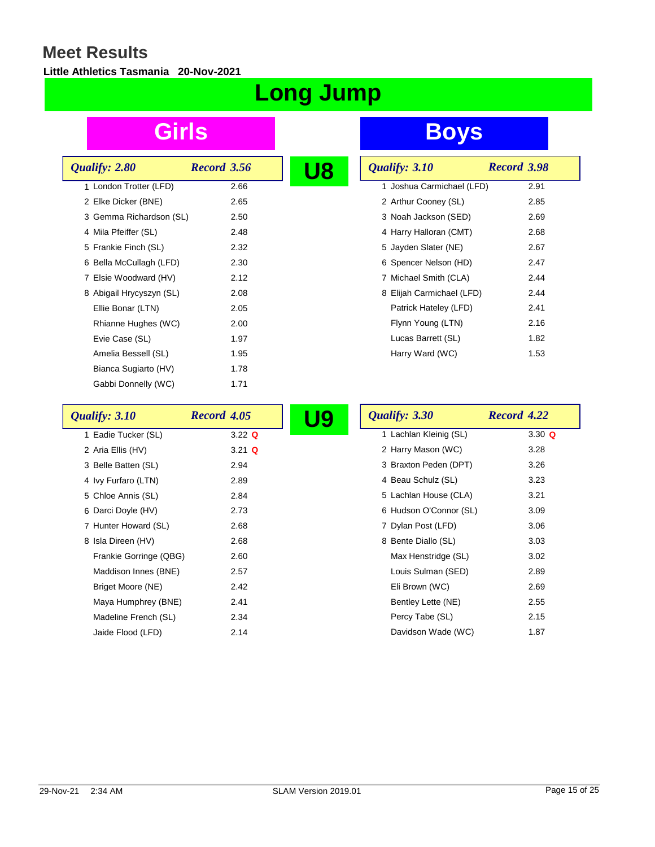#### **Little Athletics Tasmania 20-Nov-2021**

# **Long Jump**

| Qualify: 2.80            | Record 3.56 |  |
|--------------------------|-------------|--|
| 1 London Trotter (LFD)   | 2.66        |  |
| 2 Elke Dicker (BNE)      | 2.65        |  |
| 3 Gemma Richardson (SL)  | 2.50        |  |
| 4 Mila Pfeiffer (SL)     | 2.48        |  |
| 5 Frankie Finch (SL)     | 2.32        |  |
| 6 Bella McCullagh (LFD)  | 2.30        |  |
| 7 Elsie Woodward (HV)    | 2.12        |  |
| 8 Abigail Hrycyszyn (SL) | 2.08        |  |
| Ellie Bonar (LTN)        | 2.05        |  |
| Rhianne Hughes (WC)      | 2.00        |  |
| Evie Case (SL)           | 1.97        |  |
| Amelia Bessell (SL)      | 1.95        |  |
| Bianca Sugiarto (HV)     | 1.78        |  |
| Gabbi Donnelly (WC)      | 1.71        |  |

| Qualify: 3.10             | Record 3.98 |
|---------------------------|-------------|
| 1 Joshua Carmichael (LFD) | 2.91        |
| 2 Arthur Cooney (SL)      | 2.85        |
| 3 Noah Jackson (SED)      | 2.69        |
| 4 Harry Halloran (CMT)    | 2.68        |
| 5 Jayden Slater (NE)      | 2.67        |
| 6 Spencer Nelson (HD)     | 2.47        |
| 7 Michael Smith (CLA)     | 2.44        |
| 8 Elijah Carmichael (LFD) | 2.44        |
| Patrick Hateley (LFD)     | 2.41        |
| Flynn Young (LTN)         | 2.16        |
| Lucas Barrett (SL)        | 1.82        |
| Harry Ward (WC)           | 1.53        |

| Qualify: 3.10          | Record 4.05 | <u>U9</u> | Qualify: 3.30          | Record 4.22 |
|------------------------|-------------|-----------|------------------------|-------------|
| 1 Eadie Tucker (SL)    | $3.22$ Q    |           | 1 Lachlan Kleinig (SL) | 3.30 $Q$    |
| 2 Aria Ellis (HV)      | $3.21$ Q    |           | 2 Harry Mason (WC)     | 3.28        |
| 3 Belle Batten (SL)    | 2.94        |           | 3 Braxton Peden (DPT)  | 3.26        |
| 4 Ivy Furfaro (LTN)    | 2.89        |           | 4 Beau Schulz (SL)     | 3.23        |
| 5 Chloe Annis (SL)     | 2.84        |           | 5 Lachlan House (CLA)  | 3.21        |
| 6 Darci Doyle (HV)     | 2.73        |           | 6 Hudson O'Connor (SL) | 3.09        |
| 7 Hunter Howard (SL)   | 2.68        |           | 7 Dylan Post (LFD)     | 3.06        |
| 8 Isla Direen (HV)     | 2.68        |           | 8 Bente Diallo (SL)    | 3.03        |
| Frankie Gorringe (QBG) | 2.60        |           | Max Henstridge (SL)    | 3.02        |
| Maddison Innes (BNE)   | 2.57        |           | Louis Sulman (SED)     | 2.89        |
| Briget Moore (NE)      | 2.42        |           | Eli Brown (WC)         | 2.69        |
| Maya Humphrey (BNE)    | 2.41        |           | Bentley Lette (NE)     | 2.55        |
| Madeline French (SL)   | 2.34        |           | Percy Tabe (SL)        | 2.15        |
| Jaide Flood (LFD)      | 2.14        |           | Davidson Wade (WC)     | 1.87        |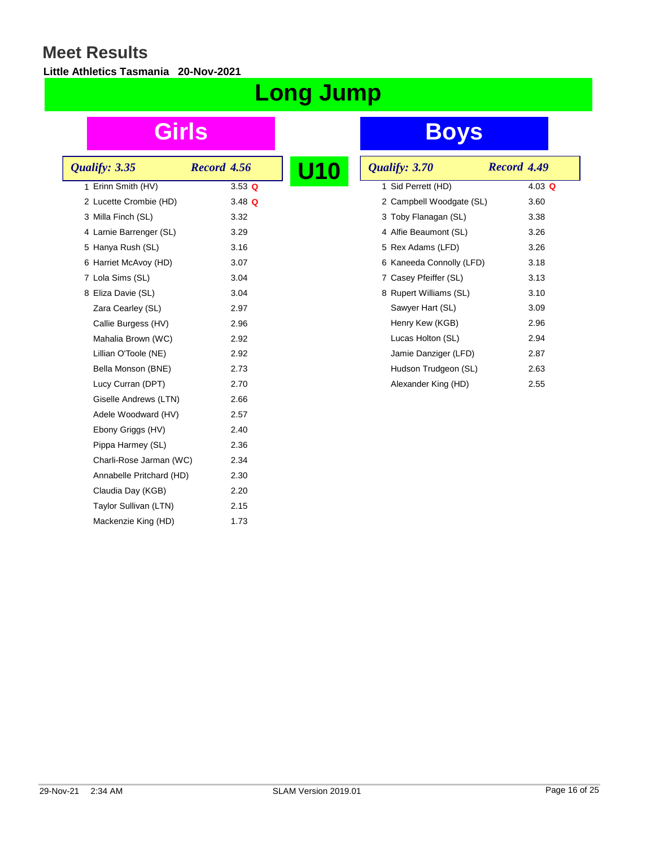#### **Little Athletics Tasmania 20-Nov-2021**

# **Long Jump**

| Qualify: 3.35            | Record 4.56 |  |
|--------------------------|-------------|--|
| 1 Erinn Smith (HV)       | $3.53$ Q    |  |
| 2 Lucette Crombie (HD)   | 3.48 $Q$    |  |
| 3 Milla Finch (SL)       | 3.32        |  |
| 4 Larnie Barrenger (SL)  | 3.29        |  |
| 5 Hanya Rush (SL)        | 3.16        |  |
| 6 Harriet McAvoy (HD)    | 3.07        |  |
| 7 Lola Sims (SL)         | 3.04        |  |
| 8 Eliza Davie (SL)       | 3.04        |  |
| Zara Cearley (SL)        | 2.97        |  |
| Callie Burgess (HV)      | 2.96        |  |
| Mahalia Brown (WC)       | 2.92        |  |
| Lillian O'Toole (NE)     | 2.92        |  |
| Bella Monson (BNE)       | 2.73        |  |
| Lucy Curran (DPT)        | 2.70        |  |
| Giselle Andrews (LTN)    | 2.66        |  |
| Adele Woodward (HV)      | 2.57        |  |
| Ebony Griggs (HV)        | 2.40        |  |
| Pippa Harmey (SL)        | 2.36        |  |
| Charli-Rose Jarman (WC)  | 2.34        |  |
| Annabelle Pritchard (HD) | 2.30        |  |
| Claudia Day (KGB)        | 2.20        |  |
| Taylor Sullivan (LTN)    | 2.15        |  |
| Mackenzie King (HD)      | 1.73        |  |
|                          |             |  |

| <b>U10</b> | Qualify: 3.70            | Record 4.49 |
|------------|--------------------------|-------------|
|            | 1 Sid Perrett (HD)       | 4.03 $Q$    |
|            | 2 Campbell Woodgate (SL) | 3.60        |
|            | 3 Toby Flanagan (SL)     | 3.38        |
|            | 4 Alfie Beaumont (SL)    | 3.26        |
|            | 5 Rex Adams (LFD)        | 3.26        |
|            | 6 Kaneeda Connolly (LFD) | 3.18        |
|            | 7 Casey Pfeiffer (SL)    | 3.13        |
|            | 8 Rupert Williams (SL)   | 3.10        |
|            | Sawyer Hart (SL)         | 3.09        |
|            | Henry Kew (KGB)          | 2.96        |
|            | Lucas Holton (SL)        | 2.94        |
|            | Jamie Danziger (LFD)     | 2.87        |
|            | Hudson Trudgeon (SL)     | 2.63        |
|            | Alexander King (HD)      | 2.55        |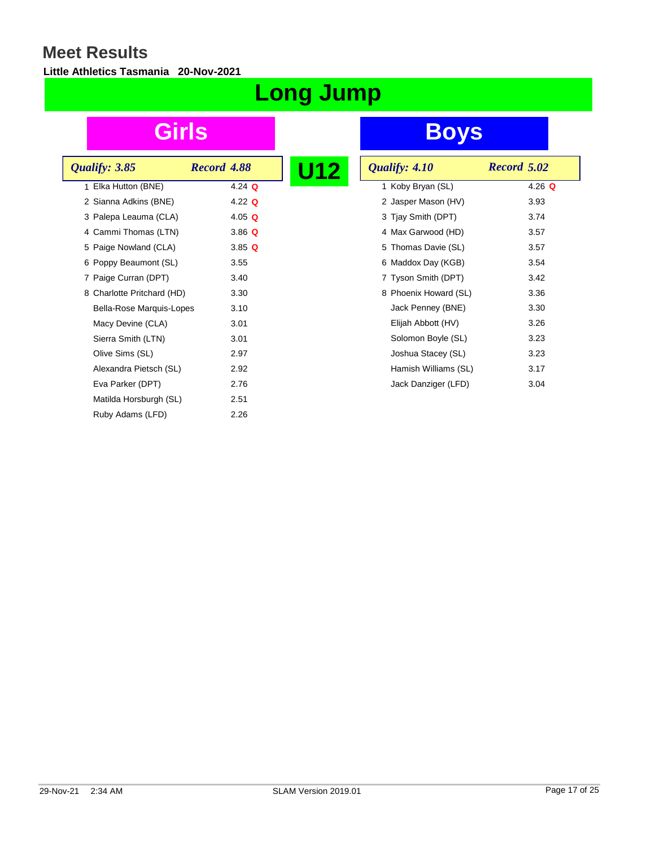#### **Little Athletics Tasmania 20-Nov-2021**

# **Long Jump**

## **Girls Boys**

 $\frac{1}{4.26}$  Q

| Qualify: 3.85              | Record 4.88 | U12 | Qualify: 4.10         | <b>Record 5.02</b> |
|----------------------------|-------------|-----|-----------------------|--------------------|
| 1 Elka Hutton (BNE)        | 4.24 $Q$    |     | 1 Koby Bryan (SL)     | 4.26               |
| 2 Sianna Adkins (BNE)      | 4.22 $Q$    |     | 2 Jasper Mason (HV)   | 3.93               |
| 3 Palepa Leauma (CLA)      | 4.05 $Q$    |     | 3 Tjay Smith (DPT)    | 3.74               |
| 4 Cammi Thomas (LTN)       | $3.86$ Q    |     | 4 Max Garwood (HD)    | 3.57               |
| 5 Paige Nowland (CLA)      | 3.85Q       |     | 5 Thomas Davie (SL)   | 3.57               |
| 6 Poppy Beaumont (SL)      | 3.55        |     | 6 Maddox Day (KGB)    | 3.54               |
| 7 Paige Curran (DPT)       | 3.40        |     | 7 Tyson Smith (DPT)   | 3.42               |
| 8 Charlotte Pritchard (HD) | 3.30        |     | 8 Phoenix Howard (SL) | 3.36               |
| Bella-Rose Marquis-Lopes   | 3.10        |     | Jack Penney (BNE)     | 3.30               |
| Macy Devine (CLA)          | 3.01        |     | Elijah Abbott (HV)    | 3.26               |
| Sierra Smith (LTN)         | 3.01        |     | Solomon Boyle (SL)    | 3.23               |
| Olive Sims (SL)            | 2.97        |     | Joshua Stacey (SL)    | 3.23               |
| Alexandra Pietsch (SL)     | 2.92        |     | Hamish Williams (SL)  | 3.17               |
| Eva Parker (DPT)           | 2.76        |     | Jack Danziger (LFD)   | 3.04               |
| Matilda Horsburgh (SL)     | 2.51        |     |                       |                    |
| Ruby Adams (LFD)           | 2.26        |     |                       |                    |
|                            |             |     |                       |                    |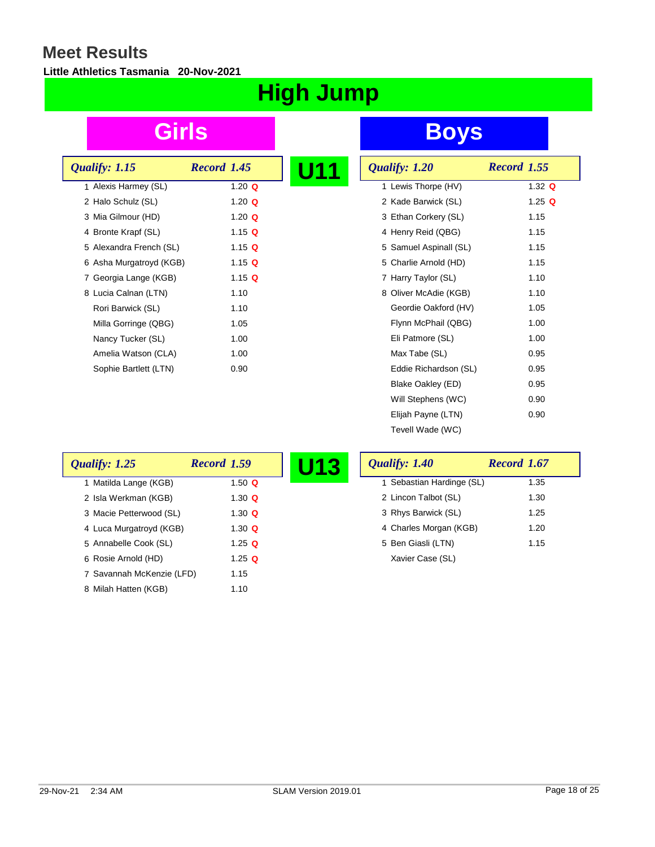### **Little Athletics Tasmania 20-Nov-2021**

# **High Jump**

| Qualify: 1.15           | Record 1.45   | U11 |
|-------------------------|---------------|-----|
| 1 Alexis Harmey (SL)    | 1.20 $Q$      |     |
| 2 Halo Schulz (SL)      | 1.20 $\Omega$ |     |
| 3 Mia Gilmour (HD)      | 1.20 $\Omega$ |     |
| 4 Bronte Krapf (SL)     | 1.15 Q        |     |
| 5 Alexandra French (SL) | 1.15 Q        |     |
| 6 Asha Murgatroyd (KGB) | 1.15 Q        |     |
| 7 Georgia Lange (KGB)   | 1.15 Q        |     |
| 8 Lucia Calnan (LTN)    | 1.10          |     |
| Rori Barwick (SL)       | 1.10          |     |
| Milla Gorringe (QBG)    | 1.05          |     |
| Nancy Tucker (SL)       | 1.00          |     |
| Amelia Watson (CLA)     | 1.00          |     |
| Sophie Bartlett (LTN)   | 0.90          |     |

| U11 | Qualify: 1.20          | <b>Record 1.55</b> |
|-----|------------------------|--------------------|
|     | 1 Lewis Thorpe (HV)    | 1.32 $Q$           |
|     | 2 Kade Barwick (SL)    | 1.25 $Q$           |
|     | 3 Ethan Corkery (SL)   | 1.15               |
|     | 4 Henry Reid (QBG)     | 1.15               |
|     | 5 Samuel Aspinall (SL) | 1.15               |
|     | 5 Charlie Arnold (HD)  | 1.15               |
|     | 7 Harry Taylor (SL)    | 1.10               |
|     | 8 Oliver McAdie (KGB)  | 1.10               |
|     | Geordie Oakford (HV)   | 1.05               |
|     | Flynn McPhail (QBG)    | 1.00               |
|     | Eli Patmore (SL)       | 1.00               |
|     | Max Tabe (SL)          | 0.95               |
|     | Eddie Richardson (SL)  | 0.95               |
|     | Blake Oakley (ED)      | 0.95               |
|     | Will Stephens (WC)     | 0.90               |
|     | Elijah Payne (LTN)     | 0.90               |
|     | Tevell Wade (WC)       |                    |

| Qualify: 1.25             | <b>Record 1.59</b> | U13 | Qualify: 1.40             | Record 1.67 |
|---------------------------|--------------------|-----|---------------------------|-------------|
| 1 Matilda Lange (KGB)     | 1.50 $Q$           |     | 1 Sebastian Hardinge (SL) | 1.35        |
| 2 Isla Werkman (KGB)      | 1.30 $\Omega$      |     | 2 Lincon Talbot (SL)      | 1.30        |
| 3 Macie Petterwood (SL)   | 1.30 $Q$           |     | 3 Rhys Barwick (SL)       | 1.25        |
| 4 Luca Murgatroyd (KGB)   | 1.30 $\Omega$      |     | 4 Charles Morgan (KGB)    | 1.20        |
| 5 Annabelle Cook (SL)     | 1.25 $Q$           |     | 5 Ben Giasli (LTN)        | 1.15        |
| 6 Rosie Arnold (HD)       | 1.25 $Q$           |     | Xavier Case (SL)          |             |
| 7 Savannah McKenzie (LFD) | 1.15               |     |                           |             |
| 8 Milah Hatten (KGB)      | 1.10               |     |                           |             |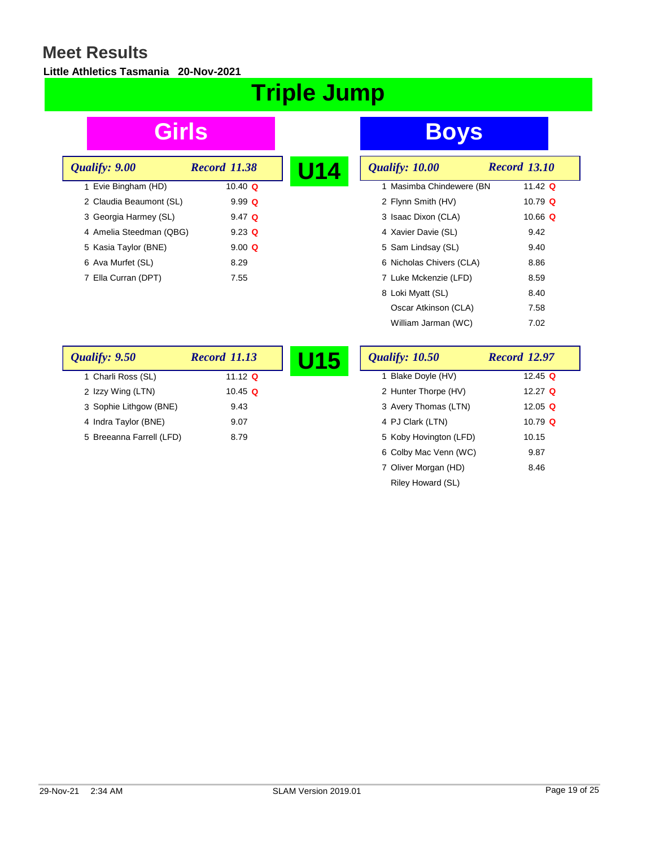#### **Little Athletics Tasmania 20-Nov-2021**

# **Triple Jump**

| Qualify: 9.00           | <b>Record 11.38</b> |  |
|-------------------------|---------------------|--|
| 1 Evie Bingham (HD)     | 10.40 $\Omega$      |  |
| 2 Claudia Beaumont (SL) | $9.99 \Omega$       |  |
| 3 Georgia Harmey (SL)   | $9.47$ Q            |  |
| 4 Amelia Steedman (QBG) | $9.23$ Q            |  |
| 5 Kasia Taylor (BNE)    | $9.00 \Omega$       |  |
| 6 Ava Murfet (SL)       | 8.29                |  |
| 7 Ella Curran (DPT)     | 7.55                |  |
|                         |                     |  |

| U14 | Qualify: 10.00           | <b>Record 13.10</b> |
|-----|--------------------------|---------------------|
|     | 1 Masimba Chindewere (BN | 11.42 $Q$           |
|     | 2 Flynn Smith (HV)       | 10.79 $Q$           |
|     | 3 Isaac Dixon (CLA)      | 10.66 Q             |
|     | 4 Xavier Davie (SL)      | 9.42                |
|     | 5 Sam Lindsay (SL)       | 9.40                |
|     | 6 Nicholas Chivers (CLA) | 8.86                |
|     | 7 Luke Mckenzie (LFD)    | 8.59                |
|     | 8 Loki Myatt (SL)        | 8.40                |
|     | Oscar Atkinson (CLA)     | 7.58                |
|     | William Jarman (WC)      | 7.02                |

| Qualify: 9.50            | <b>Record 11.13</b> | J15 | <b>Qualify: 10.50</b>  | <b>Record 12.97</b> |
|--------------------------|---------------------|-----|------------------------|---------------------|
| 1 Charli Ross (SL)       | 11.12 $Q$           |     | Blake Doyle (HV)       | 12.45 <b>Q</b>      |
| 2 Izzy Wing (LTN)        | 10.45 $Q$           |     | 2 Hunter Thorpe (HV)   | 12.27 $\Omega$      |
| 3 Sophie Lithgow (BNE)   | 9.43                |     | 3 Avery Thomas (LTN)   | 12.05 Q             |
| 4 Indra Taylor (BNE)     | 9.07                |     | 4 PJ Clark (LTN)       | 10.79 $\Omega$      |
| 5 Breeanna Farrell (LFD) | 8.79                |     | 5 Koby Hovington (LFD) | 10.15               |
|                          |                     |     | 6 Colby Mac Venn (WC)  | 9.87                |
|                          |                     |     | 7 Oliver Morgan (HD)   | 8.46                |
|                          |                     |     | Riley Howard (SL)      |                     |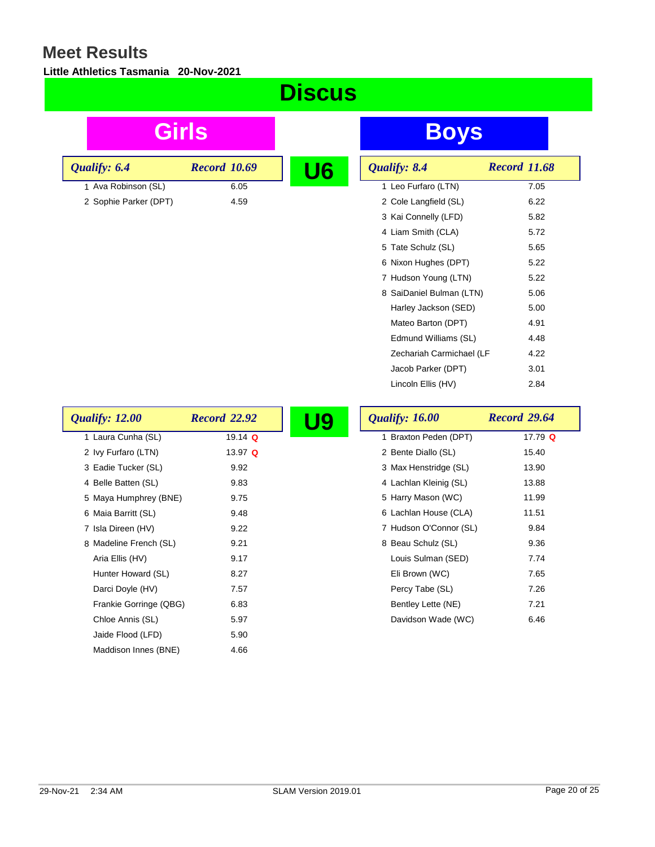#### **Little Athletics Tasmania 20-Nov-2021**

| <u>Discus</u>          |                     |           |                          |                     |
|------------------------|---------------------|-----------|--------------------------|---------------------|
| Girls                  |                     |           | <b>Boys</b>              |                     |
| Qualify: 6.4           | <b>Record 10.69</b> | U6        | Qualify: 8.4             | <b>Record 11.68</b> |
| 1 Ava Robinson (SL)    | 6.05                |           | 1 Leo Furfaro (LTN)      | 7.05                |
| 2 Sophie Parker (DPT)  | 4.59                |           | 2 Cole Langfield (SL)    | 6.22                |
|                        |                     |           | 3 Kai Connelly (LFD)     | 5.82                |
|                        |                     |           | 4 Liam Smith (CLA)       | 5.72                |
|                        |                     |           | 5 Tate Schulz (SL)       | 5.65                |
|                        |                     |           | 6 Nixon Hughes (DPT)     | 5.22                |
|                        |                     |           | 7 Hudson Young (LTN)     | 5.22                |
|                        |                     |           | 8 SaiDaniel Bulman (LTN) | 5.06                |
|                        |                     |           | Harley Jackson (SED)     | 5.00                |
|                        |                     |           | Mateo Barton (DPT)       | 4.91                |
|                        |                     |           | Edmund Williams (SL)     | 4.48                |
|                        |                     |           | Zechariah Carmichael (LF | 4.22                |
|                        |                     |           | Jacob Parker (DPT)       | 3.01                |
|                        |                     |           | Lincoln Ellis (HV)       | 2.84                |
| Qualify: 12.00         | <b>Record 22.92</b> | <b>U9</b> | <b>Qualify: 16.00</b>    | <b>Record 29.64</b> |
| 1 Laura Cunha (SL)     | 19.14 $Q$           |           | 1 Braxton Peden (DPT)    | 17.79 Q             |
| 2 Ivy Furfaro (LTN)    | 13.97 Q             |           | 2 Bente Diallo (SL)      | 15.40               |
| 3 Eadie Tucker (SL)    | 9.92                |           | 3 Max Henstridge (SL)    | 13.90               |
| 4 Belle Batten (SL)    | 9.83                |           | 4 Lachlan Kleinig (SL)   | 13.88               |
| 5 Maya Humphrey (BNE)  | 9.75                |           | 5 Harry Mason (WC)       | 11.99               |
| 6 Maia Barritt (SL)    | 9.48                |           | 6 Lachlan House (CLA)    | 11.51               |
| 7 Isla Direen (HV)     | 9.22                |           | 7 Hudson O'Connor (SL)   | 9.84                |
| 8 Madeline French (SL) | 9.21                |           | 8 Beau Schulz (SL)       | 9.36                |
| Aria Ellis (HV)        | 9.17                |           | Louis Sulman (SED)       | 7.74                |
| Hunter Howard (SL)     | 8.27                |           | Eli Brown (WC)           | 7.65                |
| Darci Doyle (HV)       | 7.57                |           | Percy Tabe (SL)          | 7.26                |
| Frankie Gorringe (QBG) | 6.83                |           | Bentley Lette (NE)       | 7.21                |
| Chloe Annis (SL)       | 5.97                |           | Davidson Wade (WC)       | 6.46                |
| Jaide Flood (LFD)      | 5.90                |           |                          |                     |

Maddison Innes (BNE) 4.66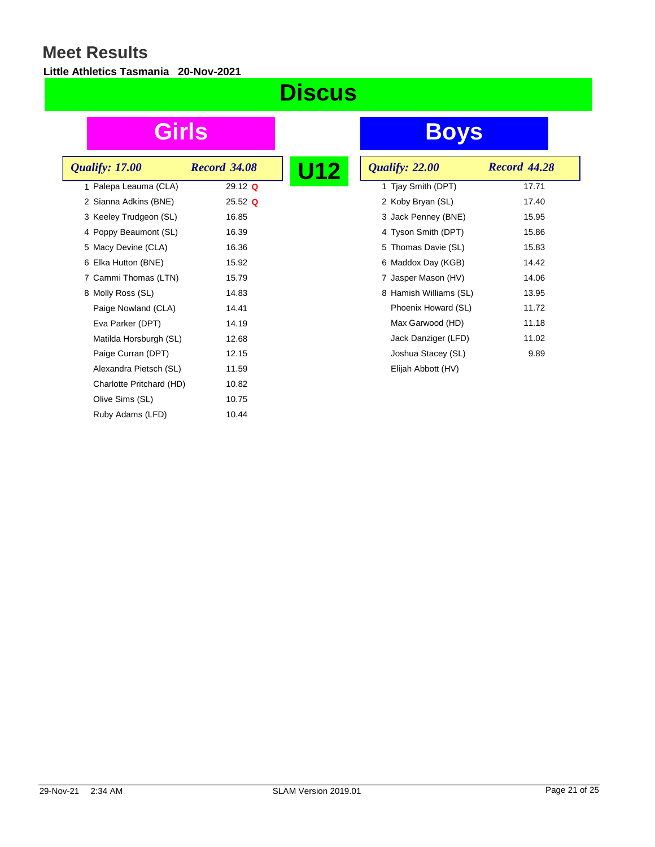### **Little Athletics Tasmania 20-Nov-2021**

# **Discus**

| <i><b>Qualify: 17.00</b></i> | <b>Record 34.08</b> | U12 |  |
|------------------------------|---------------------|-----|--|
| 1 Palepa Leauma (CLA)        | $29.12$ Q           |     |  |
| 2 Sianna Adkins (BNE)        | $25.52$ Q           |     |  |
| 3 Keeley Trudgeon (SL)       | 16.85               |     |  |
| 4 Poppy Beaumont (SL)        | 16.39               |     |  |
| 5 Macy Devine (CLA)          | 16.36               |     |  |
| 6 Elka Hutton (BNE)          | 15.92               |     |  |
| 7 Cammi Thomas (LTN)         | 15.79               |     |  |
| 8 Molly Ross (SL)            | 14.83               |     |  |
| Paige Nowland (CLA)          | 14.41               |     |  |
| Eva Parker (DPT)             | 14.19               |     |  |
| Matilda Horsburgh (SL)       | 12.68               |     |  |
| Paige Curran (DPT)           | 12.15               |     |  |
| Alexandra Pietsch (SL)       | 11.59               |     |  |
| Charlotte Pritchard (HD)     | 10.82               |     |  |
| Olive Sims (SL)              | 10.75               |     |  |
| Ruby Adams (LFD)             | 10.44               |     |  |
|                              |                     |     |  |

| <b>Record 44.28</b>                                                                                                                                                                                                                                                                                                        |
|----------------------------------------------------------------------------------------------------------------------------------------------------------------------------------------------------------------------------------------------------------------------------------------------------------------------------|
| 17.71                                                                                                                                                                                                                                                                                                                      |
| 17.40                                                                                                                                                                                                                                                                                                                      |
| 15.95                                                                                                                                                                                                                                                                                                                      |
| 15.86                                                                                                                                                                                                                                                                                                                      |
| 15.83                                                                                                                                                                                                                                                                                                                      |
| 14.42                                                                                                                                                                                                                                                                                                                      |
| 14.06                                                                                                                                                                                                                                                                                                                      |
| 13.95                                                                                                                                                                                                                                                                                                                      |
| 11.72                                                                                                                                                                                                                                                                                                                      |
| 11.18                                                                                                                                                                                                                                                                                                                      |
| 11.02                                                                                                                                                                                                                                                                                                                      |
| 9.89                                                                                                                                                                                                                                                                                                                       |
|                                                                                                                                                                                                                                                                                                                            |
| <b>Qualify: 22.00</b><br>1 Tjay Smith (DPT)<br>2 Koby Bryan (SL)<br>3 Jack Penney (BNE)<br>4 Tyson Smith (DPT)<br>5 Thomas Davie (SL)<br>6 Maddox Day (KGB)<br>7 Jasper Mason (HV)<br>8 Hamish Williams (SL)<br>Phoenix Howard (SL)<br>Max Garwood (HD)<br>Jack Danziger (LFD)<br>Joshua Stacey (SL)<br>Elijah Abbott (HV) |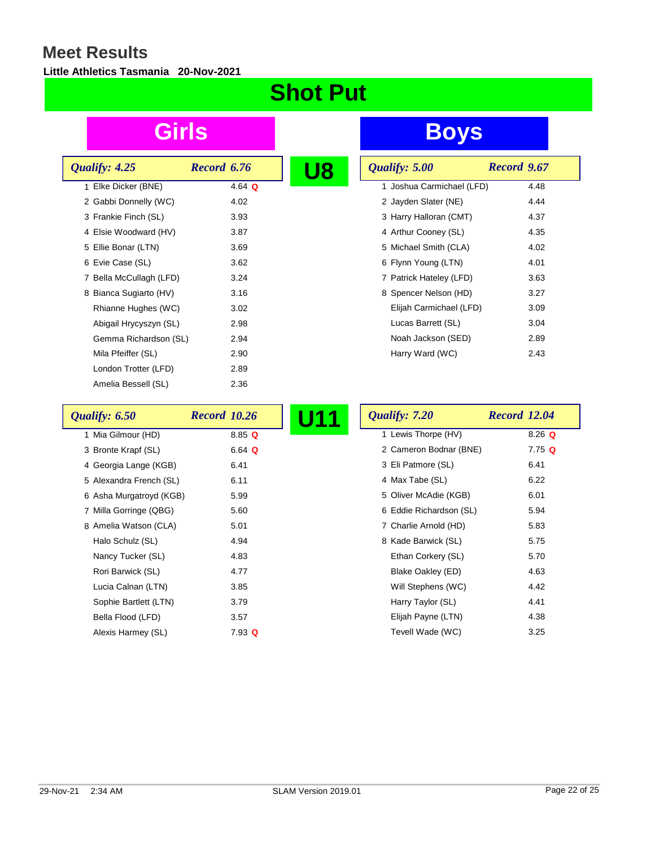### **Little Athletics Tasmania 20-Nov-2021**

# **Shot Put**

| Qualify: 4.25           | Record 6.76 |  |
|-------------------------|-------------|--|
| 1 Elke Dicker (BNE)     | 4.64 $Q$    |  |
| 2 Gabbi Donnelly (WC)   | 4.02        |  |
| 3 Frankie Finch (SL)    | 3.93        |  |
| 4 Elsie Woodward (HV)   | 3.87        |  |
| 5 Ellie Bonar (LTN)     | 3.69        |  |
| 6 Evie Case (SL)        | 3.62        |  |
| 7 Bella McCullagh (LFD) | 3.24        |  |
| 8 Bianca Sugiarto (HV)  | 3.16        |  |
| Rhianne Hughes (WC)     | 3.02        |  |
| Abigail Hrycyszyn (SL)  | 2.98        |  |
| Gemma Richardson (SL)   | 2.94        |  |
| Mila Pfeiffer (SL)      | 2.90        |  |
| London Trotter (LFD)    | 2.89        |  |
| Amelia Bessell (SL)     | 2.36        |  |

| Qualify: 5.00             | Record 9.67 |
|---------------------------|-------------|
| 1 Joshua Carmichael (LFD) | 4.48        |
| 2 Jayden Slater (NE)      | 4.44        |
| 3 Harry Halloran (CMT)    | 4.37        |
| 4 Arthur Cooney (SL)      | 4.35        |
| 5 Michael Smith (CLA)     | 4.02        |
| 6 Flynn Young (LTN)       | 4.01        |
| 7 Patrick Hateley (LFD)   | 3.63        |
| 8 Spencer Nelson (HD)     | 3.27        |
| Elijah Carmichael (LFD)   | 3.09        |
| Lucas Barrett (SL)        | 3.04        |
| Noah Jackson (SED)        | 2.89        |
| Harry Ward (WC)           | 2.43        |

| Qualify: 6.50           | <b>Record 10.26</b>  | <b>U11</b><br>Qualify: 7.20 | <b>Record 12.04</b> |
|-------------------------|----------------------|-----------------------------|---------------------|
| 1 Mia Gilmour (HD)      | 8.85Q                | 1 Lewis Thorpe (HV)         | $8.26$ Q            |
| 3 Bronte Krapf (SL)     | 6.64 $Q$             | 2 Cameron Bodnar (BNE)      | $7.75$ Q            |
| 4 Georgia Lange (KGB)   | 6.41                 | 3 Eli Patmore (SL)          | 6.41                |
| 5 Alexandra French (SL) | 6.11                 | 4 Max Tabe (SL)             | 6.22                |
| 6 Asha Murgatroyd (KGB) | 5.99                 | 5 Oliver McAdie (KGB)       | 6.01                |
| 7 Milla Gorringe (QBG)  | 5.60                 | 6 Eddie Richardson (SL)     | 5.94                |
| 8 Amelia Watson (CLA)   | 5.01                 | 7 Charlie Arnold (HD)       | 5.83                |
| Halo Schulz (SL)        | 4.94                 | 8 Kade Barwick (SL)         | 5.75                |
| Nancy Tucker (SL)       | 4.83                 | Ethan Corkery (SL)          | 5.70                |
| Rori Barwick (SL)       | 4.77                 | Blake Oakley (ED)           | 4.63                |
| Lucia Calnan (LTN)      | 3.85                 | Will Stephens (WC)          | 4.42                |
| Sophie Bartlett (LTN)   | 3.79                 | Harry Taylor (SL)           | 4.41                |
| Bella Flood (LFD)       | 3.57                 | Elijah Payne (LTN)          | 4.38                |
| Alexis Harmey (SL)      | $7.93 \; \textbf{Q}$ | Tevell Wade (WC)            | 3.25                |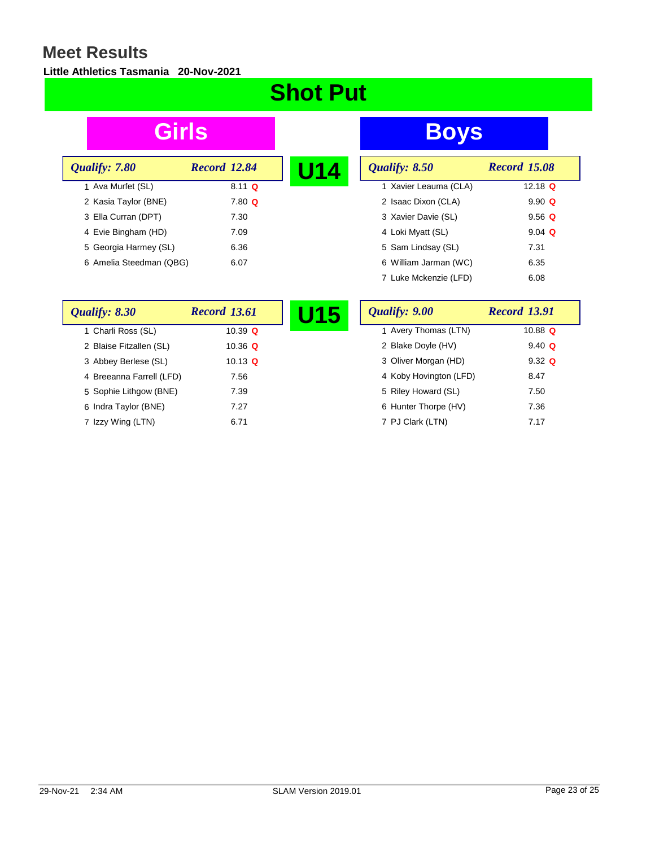#### **Little Athletics Tasmania 20-Nov-2021**

# **Shot Put**

| Qualify: 7.80           | <b>Record 12.84</b> | U14 |
|-------------------------|---------------------|-----|
| 1 Ava Murfet (SL)       | $8.11 \Omega$       |     |
| 2 Kasia Taylor (BNE)    | $7.80$ Q            |     |
| 3 Ella Curran (DPT)     | 7.30                |     |
| 4 Evie Bingham (HD)     | 7.09                |     |
| 5 Georgia Harmey (SL)   | 6.36                |     |
| 6 Amelia Steedman (QBG) | 6.07                |     |

| U14 | Qualify: 8.50         | <b>Record 15.08</b> |
|-----|-----------------------|---------------------|
|     | 1 Xavier Leauma (CLA) | 12.18 $Q$           |
|     | 2 Isaac Dixon (CLA)   | $9.90 \Omega$       |
|     | 3 Xavier Davie (SL)   | $9.56$ Q            |
|     | 4 Loki Myatt (SL)     | $9.04$ Q            |
|     | 5 Sam Lindsay (SL)    | 7.31                |
|     | 6 William Jarman (WC) | 6.35                |
|     | 7 Luke Mckenzie (LFD) | 6.08                |

| Qualify: 8.30            | <b>Record 13.61</b> | J15 | Qualify: 9.00          | <b>Record 13.91</b> |
|--------------------------|---------------------|-----|------------------------|---------------------|
| 1 Charli Ross (SL)       | 10.39 $Q$           |     | 1 Avery Thomas (LTN)   | 10.88 $\Omega$      |
| 2 Blaise Fitzallen (SL)  | 10.36 $\Omega$      |     | 2 Blake Doyle (HV)     | $9.40 \Omega$       |
| 3 Abbey Berlese (SL)     | 10.13 $\Omega$      |     | 3 Oliver Morgan (HD)   | $9.32 \Omega$       |
| 4 Breeanna Farrell (LFD) | 7.56                |     | 4 Koby Hovington (LFD) | 8.47                |
| 5 Sophie Lithgow (BNE)   | 7.39                |     | 5 Riley Howard (SL)    | 7.50                |
| 6 Indra Taylor (BNE)     | 7.27                |     | 6 Hunter Thorpe (HV)   | 7.36                |
| 7 Izzy Wing (LTN)        | 6.71                |     | 7 PJ Clark (LTN)       | 7.17                |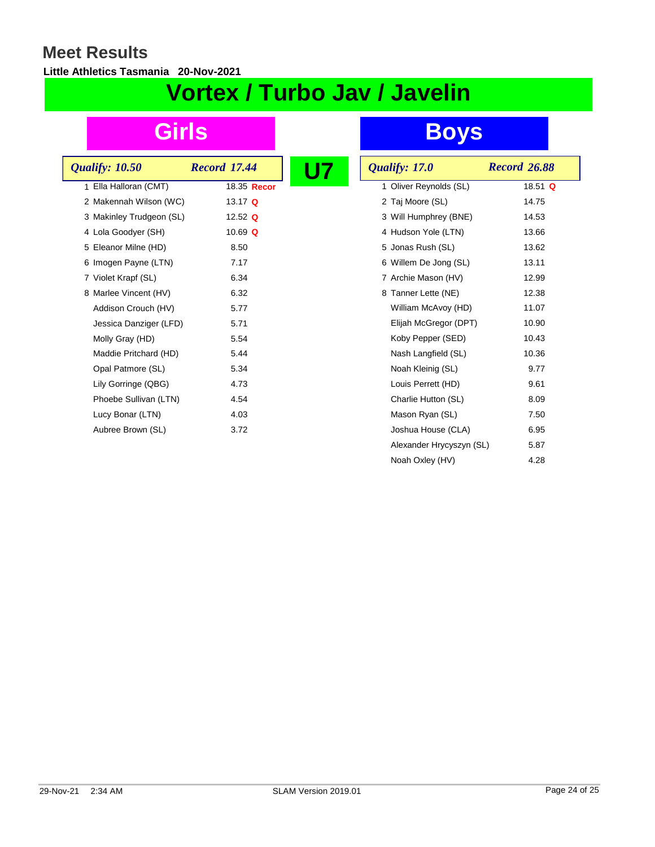**Little Athletics Tasmania 20-Nov-2021**

# **Vortex / Turbo Jav / Javelin**

| <b>Qualify: 10.50</b>    | <b>Record 17.44</b> | Qualify: 17.0            | <b>Record 26.88</b> |
|--------------------------|---------------------|--------------------------|---------------------|
|                          |                     |                          |                     |
| 1 Ella Halloran (CMT)    | 18.35 Recor         | 1 Oliver Reynolds (SL)   | 18.51 $Q$           |
| 2 Makennah Wilson (WC)   | 13.17 Q             | 2 Taj Moore (SL)         | 14.75               |
| 3 Makinley Trudgeon (SL) | 12.52 $Q$           | 3 Will Humphrey (BNE)    | 14.53               |
| 4 Lola Goodyer (SH)      | 10.69 $Q$           | 4 Hudson Yole (LTN)      | 13.66               |
| 5 Eleanor Milne (HD)     | 8.50                | 5 Jonas Rush (SL)        | 13.62               |
| 6 Imogen Payne (LTN)     | 7.17                | 6 Willem De Jong (SL)    | 13.11               |
| 7 Violet Krapf (SL)      | 6.34                | 7 Archie Mason (HV)      | 12.99               |
| 8 Marlee Vincent (HV)    | 6.32                | 8 Tanner Lette (NE)      | 12.38               |
| Addison Crouch (HV)      | 5.77                | William McAvoy (HD)      | 11.07               |
| Jessica Danziger (LFD)   | 5.71                | Elijah McGregor (DPT)    | 10.90               |
| Molly Gray (HD)          | 5.54                | Koby Pepper (SED)        | 10.43               |
| Maddie Pritchard (HD)    | 5.44                | Nash Langfield (SL)      | 10.36               |
| Opal Patmore (SL)        | 5.34                | Noah Kleinig (SL)        | 9.77                |
| Lily Gorringe (QBG)      | 4.73                | Louis Perrett (HD)       | 9.61                |
| Phoebe Sullivan (LTN)    | 4.54                | Charlie Hutton (SL)      | 8.09                |
| Lucy Bonar (LTN)         | 4.03                | Mason Ryan (SL)          | 7.50                |
| Aubree Brown (SL)        | 3.72                | Joshua House (CLA)       | 6.95                |
|                          |                     | Alexander Hrycyszyn (SL) | 5.87                |
|                          |                     | Noah Oxley (HV)          | 4.28                |